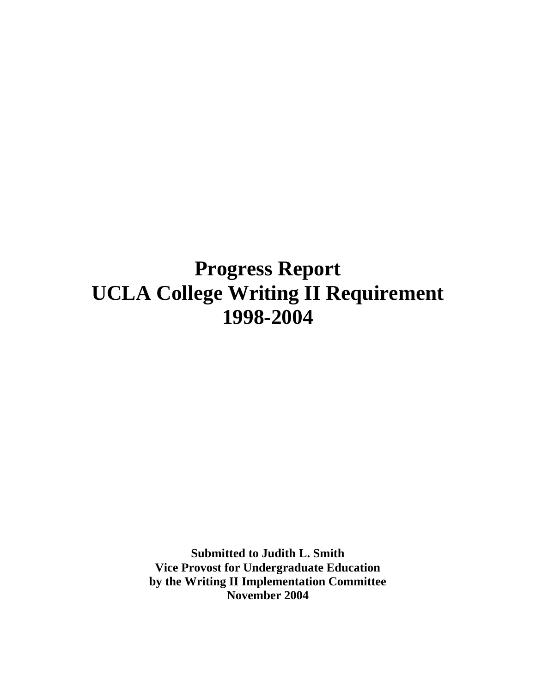## **Progress Report UCLA College Writing II Requirement 1998-2004**

**Submitted to Judith L. Smith Vice Provost for Undergraduate Education by the Writing II Implementation Committee November 2004**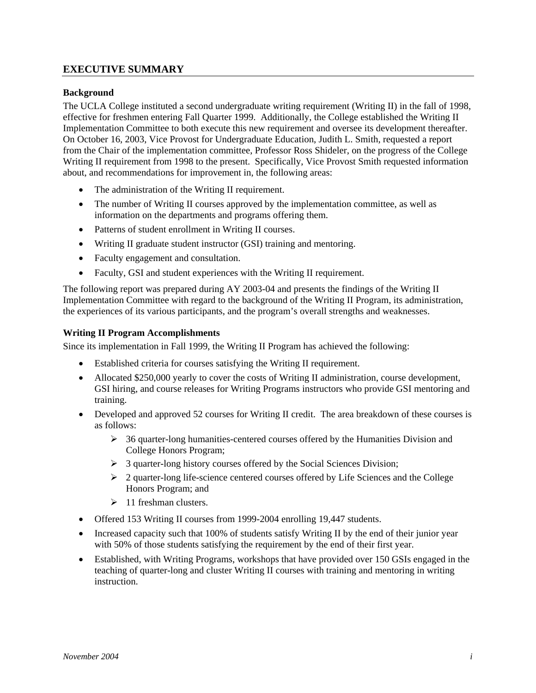## **EXECUTIVE SUMMARY**

### **Background**

The UCLA College instituted a second undergraduate writing requirement (Writing II) in the fall of 1998, effective for freshmen entering Fall Quarter 1999. Additionally, the College established the Writing II Implementation Committee to both execute this new requirement and oversee its development thereafter. On October 16, 2003, Vice Provost for Undergraduate Education, Judith L. Smith, requested a report from the Chair of the implementation committee, Professor Ross Shideler, on the progress of the College Writing II requirement from 1998 to the present. Specifically, Vice Provost Smith requested information about, and recommendations for improvement in, the following areas:

- The administration of the Writing II requirement.
- The number of Writing II courses approved by the implementation committee, as well as information on the departments and programs offering them.
- Patterns of student enrollment in Writing II courses.
- Writing II graduate student instructor (GSI) training and mentoring.
- Faculty engagement and consultation.
- Faculty, GSI and student experiences with the Writing II requirement.

The following report was prepared during AY 2003-04 and presents the findings of the Writing II Implementation Committee with regard to the background of the Writing II Program, its administration, the experiences of its various participants, and the program's overall strengths and weaknesses.

### **Writing II Program Accomplishments**

Since its implementation in Fall 1999, the Writing II Program has achieved the following:

- Established criteria for courses satisfying the Writing II requirement.
- Allocated \$250,000 yearly to cover the costs of Writing II administration, course development, GSI hiring, and course releases for Writing Programs instructors who provide GSI mentoring and training.
- Developed and approved 52 courses for Writing II credit. The area breakdown of these courses is as follows:
	- ¾ 36 quarter-long humanities-centered courses offered by the Humanities Division and College Honors Program;
	- $\triangleright$  3 quarter-long history courses offered by the Social Sciences Division;
	- $\geq 2$  quarter-long life-science centered courses offered by Life Sciences and the College Honors Program; and
	- $\geq 11$  freshman clusters.
- Offered 153 Writing II courses from 1999-2004 enrolling 19,447 students.
- Increased capacity such that 100% of students satisfy Writing II by the end of their junior year with 50% of those students satisfying the requirement by the end of their first year.
- Established, with Writing Programs, workshops that have provided over 150 GSIs engaged in the teaching of quarter-long and cluster Writing II courses with training and mentoring in writing instruction.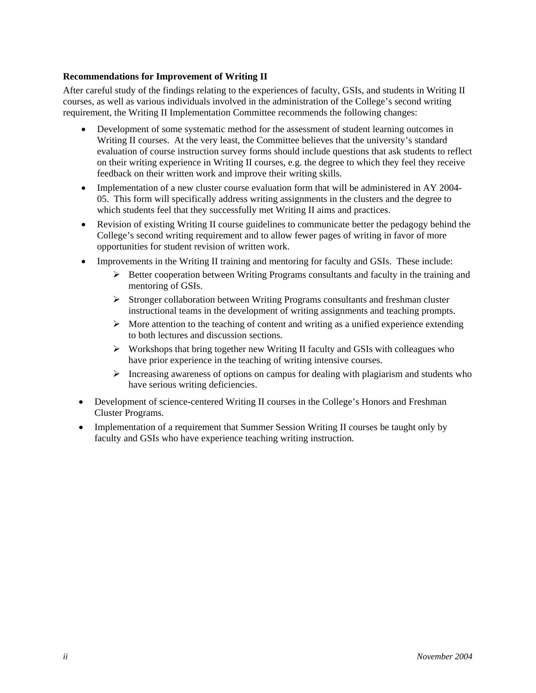## **Recommendations for Improvement of Writing II**

After careful study of the findings relating to the experiences of faculty, GSIs, and students in Writing II courses, as well as various individuals involved in the administration of the College's second writing requirement, the Writing II Implementation Committee recommends the following changes:

- Development of some systematic method for the assessment of student learning outcomes in Writing II courses. At the very least, the Committee believes that the university's standard evaluation of course instruction survey forms should include questions that ask students to reflect on their writing experience in Writing II courses, e.g. the degree to which they feel they receive feedback on their written work and improve their writing skills.
- Implementation of a new cluster course evaluation form that will be administered in AY 2004- 05. This form will specifically address writing assignments in the clusters and the degree to which students feel that they successfully met Writing II aims and practices.
- Revision of existing Writing II course guidelines to communicate better the pedagogy behind the College's second writing requirement and to allow fewer pages of writing in favor of more opportunities for student revision of written work.
- Improvements in the Writing II training and mentoring for faculty and GSIs. These include:
	- $\triangleright$  Better cooperation between Writing Programs consultants and faculty in the training and mentoring of GSIs.
	- $\triangleright$  Stronger collaboration between Writing Programs consultants and freshman cluster instructional teams in the development of writing assignments and teaching prompts.
	- $\triangleright$  More attention to the teaching of content and writing as a unified experience extending to both lectures and discussion sections.
	- $\triangleright$  Workshops that bring together new Writing II faculty and GSIs with colleagues who have prior experience in the teaching of writing intensive courses.
	- $\triangleright$  Increasing awareness of options on campus for dealing with plagiarism and students who have serious writing deficiencies.
- Development of science-centered Writing II courses in the College's Honors and Freshman Cluster Programs.
- Implementation of a requirement that Summer Session Writing II courses be taught only by faculty and GSIs who have experience teaching writing instruction.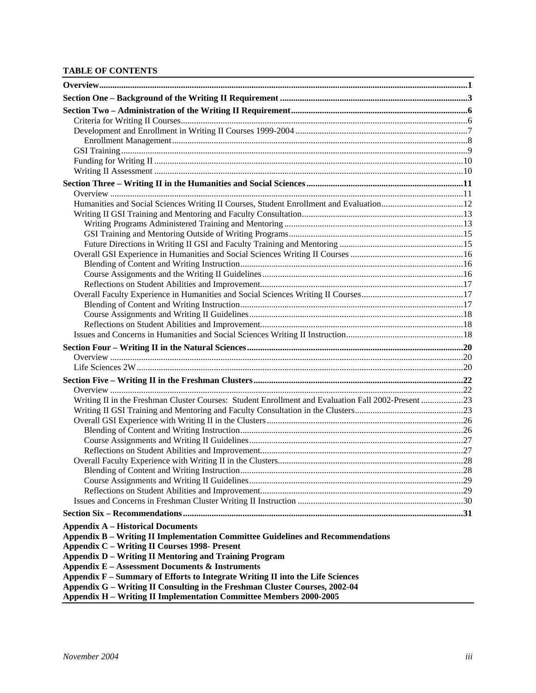#### **TABLE OF CONTENTS**

| Humanities and Social Sciences Writing II Courses, Student Enrollment and Evaluation12             |  |
|----------------------------------------------------------------------------------------------------|--|
|                                                                                                    |  |
|                                                                                                    |  |
|                                                                                                    |  |
|                                                                                                    |  |
|                                                                                                    |  |
|                                                                                                    |  |
|                                                                                                    |  |
|                                                                                                    |  |
|                                                                                                    |  |
|                                                                                                    |  |
|                                                                                                    |  |
|                                                                                                    |  |
|                                                                                                    |  |
|                                                                                                    |  |
|                                                                                                    |  |
|                                                                                                    |  |
|                                                                                                    |  |
| Writing II in the Freshman Cluster Courses: Student Enrollment and Evaluation Fall 2002-Present 23 |  |
|                                                                                                    |  |
|                                                                                                    |  |
|                                                                                                    |  |
|                                                                                                    |  |
|                                                                                                    |  |
|                                                                                                    |  |
|                                                                                                    |  |
|                                                                                                    |  |
|                                                                                                    |  |
|                                                                                                    |  |
|                                                                                                    |  |
| <b>Appendix A – Historical Documents</b>                                                           |  |
| Appendix B - Writing II Implementation Committee Guidelines and Recommendations                    |  |
| <b>Appendix C - Writing II Courses 1998- Present</b>                                               |  |
| <b>Appendix D – Writing II Mentoring and Training Program</b>                                      |  |
| <b>Appendix E - Assessment Documents &amp; Instruments</b>                                         |  |
| Appendix F - Summary of Efforts to Integrate Writing II into the Life Sciences                     |  |
| Appendix G - Writing II Consulting in the Freshman Cluster Courses, 2002-04                        |  |
| Appendix H - Writing II Implementation Committee Members 2000-2005                                 |  |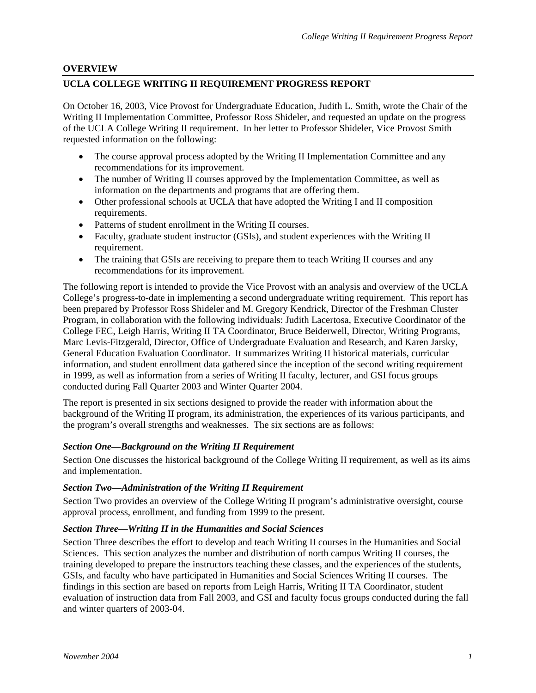## <span id="page-6-0"></span>**OVERVIEW**

## **UCLA COLLEGE WRITING II REQUIREMENT PROGRESS REPORT**

On October 16, 2003, Vice Provost for Undergraduate Education, Judith L. Smith, wrote the Chair of the Writing II Implementation Committee, Professor Ross Shideler, and requested an update on the progress of the UCLA College Writing II requirement. In her letter to Professor Shideler, Vice Provost Smith requested information on the following:

- The course approval process adopted by the Writing II Implementation Committee and any recommendations for its improvement.
- The number of Writing II courses approved by the Implementation Committee, as well as information on the departments and programs that are offering them.
- Other professional schools at UCLA that have adopted the Writing I and II composition requirements.
- Patterns of student enrollment in the Writing II courses.
- Faculty, graduate student instructor (GSIs), and student experiences with the Writing II requirement.
- The training that GSIs are receiving to prepare them to teach Writing II courses and any recommendations for its improvement.

The following report is intended to provide the Vice Provost with an analysis and overview of the UCLA College's progress-to-date in implementing a second undergraduate writing requirement. This report has been prepared by Professor Ross Shideler and M. Gregory Kendrick, Director of the Freshman Cluster Program, in collaboration with the following individuals: Judith Lacertosa, Executive Coordinator of the College FEC, Leigh Harris, Writing II TA Coordinator, Bruce Beiderwell, Director, Writing Programs, Marc Levis-Fitzgerald, Director, Office of Undergraduate Evaluation and Research, and Karen Jarsky, General Education Evaluation Coordinator. It summarizes Writing II historical materials, curricular information, and student enrollment data gathered since the inception of the second writing requirement in 1999, as well as information from a series of Writing II faculty, lecturer, and GSI focus groups conducted during Fall Quarter 2003 and Winter Quarter 2004.

The report is presented in six sections designed to provide the reader with information about the background of the Writing II program, its administration, the experiences of its various participants, and the program's overall strengths and weaknesses. The six sections are as follows:

### *Section One—Background on the Writing II Requirement*

Section One discusses the historical background of the College Writing II requirement, as well as its aims and implementation.

### *Section Two—Administration of the Writing II Requirement*

Section Two provides an overview of the College Writing II program's administrative oversight, course approval process, enrollment, and funding from 1999 to the present.

### *Section Three—Writing II in the Humanities and Social Sciences*

Section Three describes the effort to develop and teach Writing II courses in the Humanities and Social Sciences. This section analyzes the number and distribution of north campus Writing II courses, the training developed to prepare the instructors teaching these classes, and the experiences of the students, GSIs, and faculty who have participated in Humanities and Social Sciences Writing II courses. The findings in this section are based on reports from Leigh Harris, Writing II TA Coordinator, student evaluation of instruction data from Fall 2003, and GSI and faculty focus groups conducted during the fall and winter quarters of 2003-04.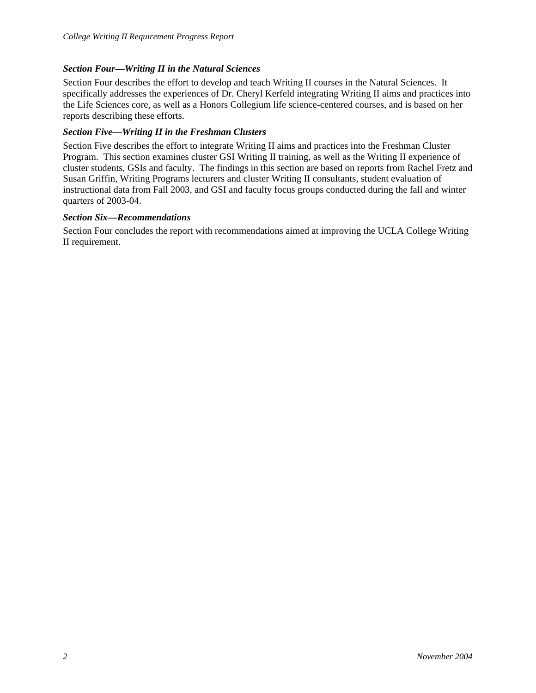## *Section Four—Writing II in the Natural Sciences*

Section Four describes the effort to develop and teach Writing II courses in the Natural Sciences. It specifically addresses the experiences of Dr. Cheryl Kerfeld integrating Writing II aims and practices into the Life Sciences core, as well as a Honors Collegium life science-centered courses, and is based on her reports describing these efforts.

## *Section Five—Writing II in the Freshman Clusters*

Section Five describes the effort to integrate Writing II aims and practices into the Freshman Cluster Program. This section examines cluster GSI Writing II training, as well as the Writing II experience of cluster students, GSIs and faculty. The findings in this section are based on reports from Rachel Fretz and Susan Griffin, Writing Programs lecturers and cluster Writing II consultants, student evaluation of instructional data from Fall 2003, and GSI and faculty focus groups conducted during the fall and winter quarters of 2003-04.

## *Section Six—Recommendations*

Section Four concludes the report with recommendations aimed at improving the UCLA College Writing II requirement.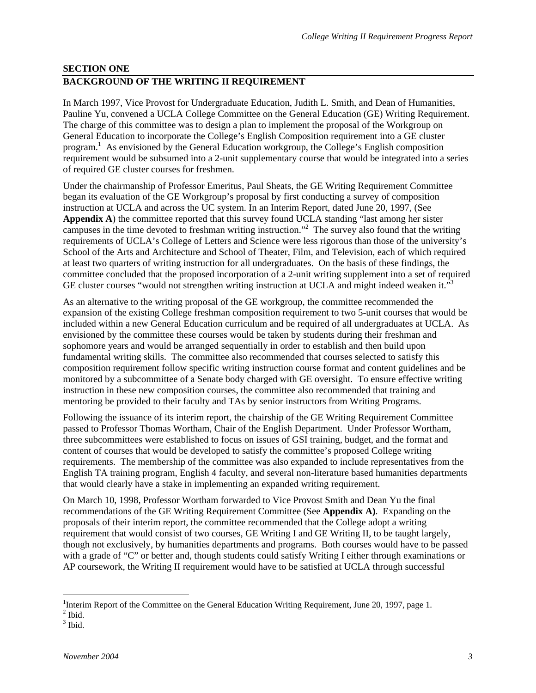## <span id="page-8-0"></span>**SECTION ONE BACKGROUND OF THE WRITING II REQUIREMENT**

In March 1997, Vice Provost for Undergraduate Education, Judith L. Smith, and Dean of Humanities, Pauline Yu, convened a UCLA College Committee on the General Education (GE) Writing Requirement. The charge of this committee was to design a plan to implement the proposal of the Workgroup on General Education to incorporate the College's English Composition requirement into a GE cluster program.<sup>1</sup> As envisioned by the General Education workgroup, the College's English composition requirem[en](#page-8-1)t would be subsumed into a 2-unit supplementary course that would be integrated into a series of required GE cluster courses for freshmen.

Under the chairmanship of Professor Emeritus, Paul Sheats, the GE Writing Requirement Committee began its evaluation of the GE Workgroup's proposal by first conducting a survey of composition instruction at UCLA and across the UC system. In an Interim Report, dated June 20, 1997, (See **Appendix A**) the committee reported that this survey found UCLA standing "last among her sister campuses in the time devoted to freshman writing instruction."2 The survey also found that the writing requirements of UCLA's College of Letters and Science were less rigorous than those of the university's School of the Arts and Architecture and School of Theater, Film, and Television, each of which required at least two quarters of writing instruction for all undergraduates. On the basis of these findings, the committee concluded that the proposed incorporation of a 2-unit writing supplement into a set of required GE cluster courses "would not strengthen writing instruction at UCLA and might indeed weaken it."<sup>[3](#page-8-3)</sup>

As an alternative to the writing proposal of the GE workgroup, the committee recommended the expansion of the existing College freshman composition requirement to two 5-unit courses that would be included within a new General Education curriculum and be required of all undergraduates at UCLA. As envisioned by the committee these courses would be taken by students during their freshman and sophomore years and would be arranged sequentially in order to establish and then build upon fundamental writing skills. The committee also recommended that courses selected to satisfy this composition requirement follow specific writing instruction course format and content guidelines and be monitored by a subcommittee of a Senate body charged with GE oversight. To ensure effective writing instruction in these new composition courses, the committee also recommended that training and mentoring be provided to their faculty and TAs by senior instructors from Writing Programs.

Following the issuance of its interim report, the chairship of the GE Writing Requirement Committee passed to Professor Thomas Wortham, Chair of the English Department. Under Professor Wortham, three subcommittees were established to focus on issues of GSI training, budget, and the format and content of courses that would be developed to satisfy the committee's proposed College writing requirements. The membership of the committee was also expanded to include representatives from the English TA training program, English 4 faculty, and several non-literature based humanities departments that would clearly have a stake in implementing an expanded writing requirement.

On March 10, 1998, Professor Wortham forwarded to Vice Provost Smith and Dean Yu the final recommendations of the GE Writing Requirement Committee (See **Appendix A)**. Expanding on the proposals of their interim report, the committee recommended that the College adopt a writing requirement that would consist of two courses, GE Writing I and GE Writing II, to be taught largely, though not exclusively, by humanities departments and programs. Both courses would have to be passed with a grade of "C" or better and, though students could satisfy Writing I either through examinations or AP coursework, the Writing II requirement would have to be satisfied at UCLA through successful

 $\overline{a}$ <sup>1</sup>Interim Report of the Committee on the General Education Writing Requirement, June 20, 1997, page 1.<br><sup>2</sup> Ibid

<span id="page-8-2"></span><span id="page-8-1"></span>

<span id="page-8-3"></span> $^2$  Ibid.<br> $^3$  Ibid.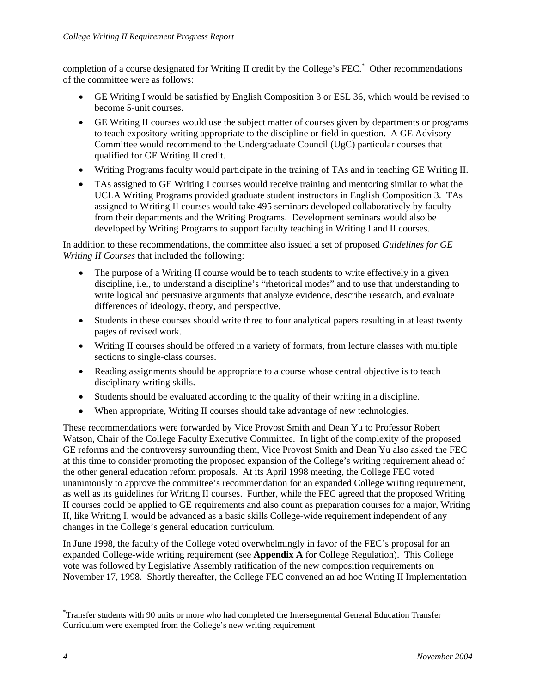completion of a course designated for Writing II credit by the College's FEC.\* Other recommendations of the committee were as follows:

- GE Writing I would be satisfied by English Composition 3 or ESL 36, which would be revised to become 5-unit courses.
- GE Writing II courses would use the subject matter of courses given by departments or programs to teach expository writing appropriate to the discipline or field in question. A GE Advisory Committee would recommend to the Undergraduate Council (UgC) particular courses that qualified for GE Writing II credit.
- Writing Programs faculty would participate in the training of TAs and in teaching GE Writing II.
- TAs assigned to GE Writing I courses would receive training and mentoring similar to what the UCLA Writing Programs provided graduate student instructors in English Composition 3. TAs assigned to Writing II courses would take 495 seminars developed collaboratively by faculty from their departments and the Writing Programs. Development seminars would also be developed by Writing Programs to support faculty teaching in Writing I and II courses.

In addition to these recommendations, the committee also issued a set of proposed *Guidelines for GE Writing II Courses* that included the following:

- The purpose of a Writing II course would be to teach students to write effectively in a given discipline, i.e., to understand a discipline's "rhetorical modes" and to use that understanding to write logical and persuasive arguments that analyze evidence, describe research, and evaluate differences of ideology, theory, and perspective.
- Students in these courses should write three to four analytical papers resulting in at least twenty pages of revised work.
- Writing II courses should be offered in a variety of formats, from lecture classes with multiple sections to single-class courses.
- Reading assignments should be appropriate to a course whose central objective is to teach disciplinary writing skills.
- Students should be evaluated according to the quality of their writing in a discipline.
- When appropriate, Writing II courses should take advantage of new technologies.

These recommendations were forwarded by Vice Provost Smith and Dean Yu to Professor Robert Watson, Chair of the College Faculty Executive Committee. In light of the complexity of the proposed GE reforms and the controversy surrounding them, Vice Provost Smith and Dean Yu also asked the FEC at this time to consider promoting the proposed expansion of the College's writing requirement ahead of the other general education reform proposals. At its April 1998 meeting, the College FEC voted unanimously to approve the committee's recommendation for an expanded College writing requirement, as well as its guidelines for Writing II courses. Further, while the FEC agreed that the proposed Writing II courses could be applied to GE requirements and also count as preparation courses for a major, Writing II, like Writing I, would be advanced as a basic skills College-wide requirement independent of any changes in the College's general education curriculum.

In June 1998, the faculty of the College voted overwhelmingly in favor of the FEC's proposal for an expanded College-wide writing requirement (see **Appendix A** for College Regulation). This College vote was followed by Legislative Assembly ratification of the new composition requirements on November 17, 1998. Shortly thereafter, the College FEC convened an ad hoc Writing II Implementation

 $\overline{a}$ 

<span id="page-9-0"></span><sup>\*</sup> Transfer students with 90 units or more who had completed the Intersegmental General Education Transfer Curriculum were exempted from the College's new writing requirement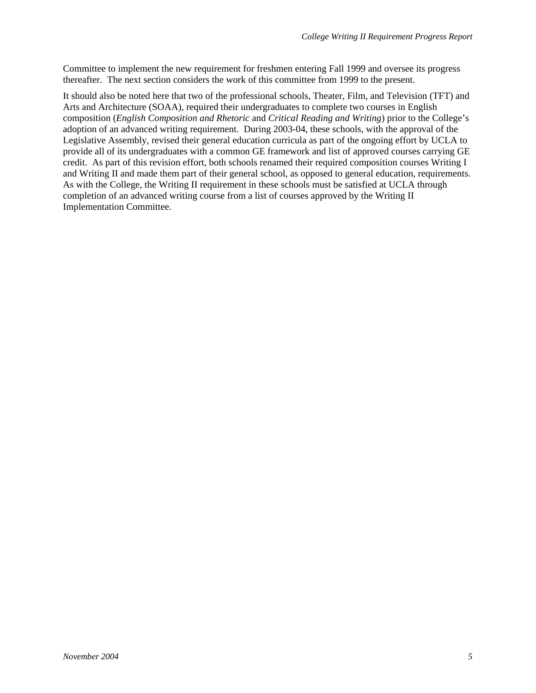Committee to implement the new requirement for freshmen entering Fall 1999 and oversee its progress thereafter. The next section considers the work of this committee from 1999 to the present.

It should also be noted here that two of the professional schools, Theater, Film, and Television (TFT) and Arts and Architecture (SOAA), required their undergraduates to complete two courses in English composition (*English Composition and Rhetoric* and *Critical Reading and Writing*) prior to the College's adoption of an advanced writing requirement. During 2003-04, these schools, with the approval of the Legislative Assembly, revised their general education curricula as part of the ongoing effort by UCLA to provide all of its undergraduates with a common GE framework and list of approved courses carrying GE credit. As part of this revision effort, both schools renamed their required composition courses Writing I and Writing II and made them part of their general school, as opposed to general education, requirements. As with the College, the Writing II requirement in these schools must be satisfied at UCLA through completion of an advanced writing course from a list of courses approved by the Writing II Implementation Committee.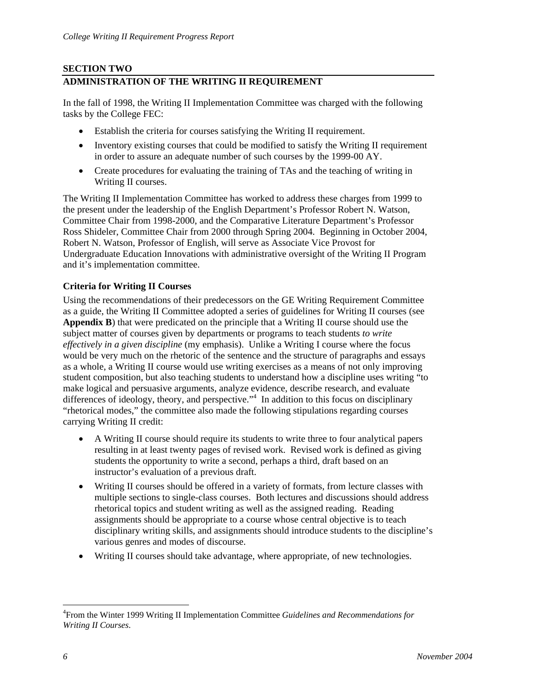## <span id="page-11-0"></span>**SECTION TWO ADMINISTRATION OF THE WRITING II REQUIREMENT**

In the fall of 1998, the Writing II Implementation Committee was charged with the following tasks by the College FEC:

- Establish the criteria for courses satisfying the Writing II requirement.
- Inventory existing courses that could be modified to satisfy the Writing II requirement in order to assure an adequate number of such courses by the 1999-00 AY.
- Create procedures for evaluating the training of TAs and the teaching of writing in Writing II courses.

The Writing II Implementation Committee has worked to address these charges from 1999 to the present under the leadership of the English Department's Professor Robert N. Watson, Committee Chair from 1998-2000, and the Comparative Literature Department's Professor Ross Shideler, Committee Chair from 2000 through Spring 2004. Beginning in October 2004, Robert N. Watson, Professor of English, will serve as Associate Vice Provost for Undergraduate Education Innovations with administrative oversight of the Writing II Program and it's implementation committee.

## **Criteria for Writing II Courses**

Using the recommendations of their predecessors on the GE Writing Requirement Committee as a guide, the Writing II Committee adopted a series of guidelines for Writing II courses (see **Appendix B**) that were predicated on the principle that a Writing II course should use the subject matter of courses given by departments or programs to teach students *to write effectively in a given discipline* (my emphasis). Unlike a Writing I course where the focus would be very much on the rhetoric of the sentence and the structure of paragraphs and essays as a whole, a Writing II course would use writing exercises as a means of not only improving student composition, but also teaching students to understand how a discipline uses writing "to make logical and persuasive arguments, analyze evidence, describe research, and evaluate differences of ideology, theory, and perspective."<sup>[4](#page-11-1)</sup> In addition to this focus on disciplinary "rhetorical modes," the committee also made the following stipulations regarding courses carrying Writing II credit:

- A Writing II course should require its students to write three to four analytical papers resulting in at least twenty pages of revised work. Revised work is defined as giving students the opportunity to write a second, perhaps a third, draft based on an instructor's evaluation of a previous draft.
- Writing II courses should be offered in a variety of formats, from lecture classes with multiple sections to single-class courses. Both lectures and discussions should address rhetorical topics and student writing as well as the assigned reading. Reading assignments should be appropriate to a course whose central objective is to teach disciplinary writing skills, and assignments should introduce students to the discipline's various genres and modes of discourse.
- Writing II courses should take advantage, where appropriate, of new technologies.

 $\overline{a}$ 

<span id="page-11-1"></span><sup>4</sup> From the Winter 1999 Writing II Implementation Committee *Guidelines and Recommendations for Writing II Courses*.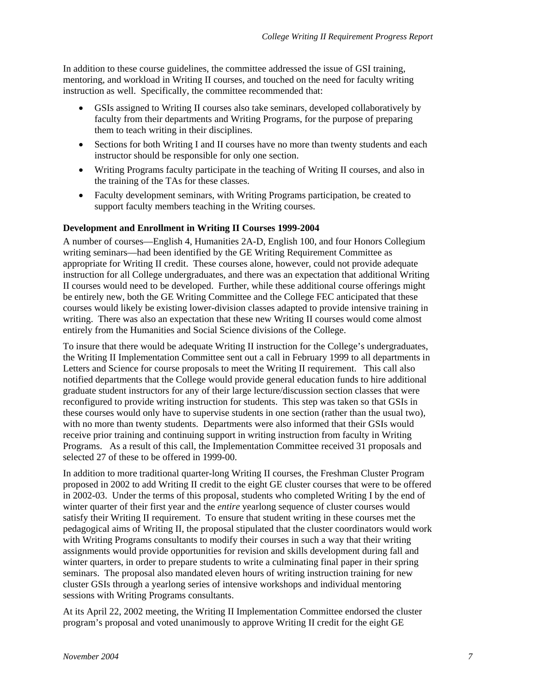<span id="page-12-0"></span>In addition to these course guidelines, the committee addressed the issue of GSI training, mentoring, and workload in Writing II courses, and touched on the need for faculty writing instruction as well. Specifically, the committee recommended that:

- GSIs assigned to Writing II courses also take seminars, developed collaboratively by faculty from their departments and Writing Programs, for the purpose of preparing them to teach writing in their disciplines.
- Sections for both Writing I and II courses have no more than twenty students and each instructor should be responsible for only one section.
- Writing Programs faculty participate in the teaching of Writing II courses, and also in the training of the TAs for these classes.
- Faculty development seminars, with Writing Programs participation, be created to support faculty members teaching in the Writing courses.

#### **Development and Enrollment in Writing II Courses 1999-2004**

A number of courses—English 4, Humanities 2A-D, English 100, and four Honors Collegium writing seminars—had been identified by the GE Writing Requirement Committee as appropriate for Writing II credit. These courses alone, however, could not provide adequate instruction for all College undergraduates, and there was an expectation that additional Writing II courses would need to be developed. Further, while these additional course offerings might be entirely new, both the GE Writing Committee and the College FEC anticipated that these courses would likely be existing lower-division classes adapted to provide intensive training in writing. There was also an expectation that these new Writing II courses would come almost entirely from the Humanities and Social Science divisions of the College.

To insure that there would be adequate Writing II instruction for the College's undergraduates, the Writing II Implementation Committee sent out a call in February 1999 to all departments in Letters and Science for course proposals to meet the Writing II requirement. This call also notified departments that the College would provide general education funds to hire additional graduate student instructors for any of their large lecture/discussion section classes that were reconfigured to provide writing instruction for students. This step was taken so that GSIs in these courses would only have to supervise students in one section (rather than the usual two), with no more than twenty students. Departments were also informed that their GSIs would receive prior training and continuing support in writing instruction from faculty in Writing Programs. As a result of this call, the Implementation Committee received 31 proposals and selected 27 of these to be offered in 1999-00.

In addition to more traditional quarter-long Writing II courses, the Freshman Cluster Program proposed in 2002 to add Writing II credit to the eight GE cluster courses that were to be offered in 2002-03. Under the terms of this proposal, students who completed Writing I by the end of winter quarter of their first year and the *entire* yearlong sequence of cluster courses would satisfy their Writing II requirement. To ensure that student writing in these courses met the pedagogical aims of Writing II, the proposal stipulated that the cluster coordinators would work with Writing Programs consultants to modify their courses in such a way that their writing assignments would provide opportunities for revision and skills development during fall and winter quarters, in order to prepare students to write a culminating final paper in their spring seminars. The proposal also mandated eleven hours of writing instruction training for new cluster GSIs through a yearlong series of intensive workshops and individual mentoring sessions with Writing Programs consultants.

At its April 22, 2002 meeting, the Writing II Implementation Committee endorsed the cluster program's proposal and voted unanimously to approve Writing II credit for the eight GE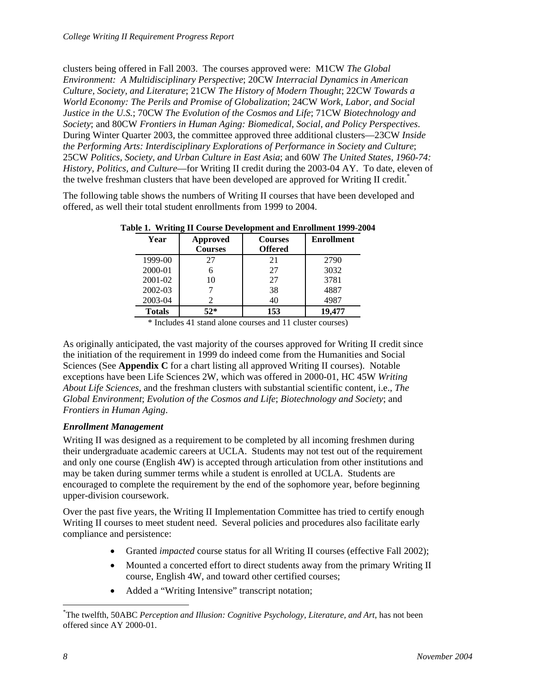<span id="page-13-0"></span>clusters being offered in Fall 2003. The courses approved were: M1CW *The Global Environment: A Multidisciplinary Perspective*; 20CW *Interracial Dynamics in American Culture, Society, and Literature*; 21CW *The History of Modern Thought*; 22CW *Towards a World Economy: The Perils and Promise of Globalization*; 24CW *Work, Labor, and Social Justice in the U.S.*; 70CW *The Evolution of the Cosmos and Life*; 71CW *Biotechnology and Society*; and 80CW *Frontiers in Human Aging: Biomedical, Social, and Policy Perspectives*. During Winter Quarter 2003, the committee approved three additional clusters—23CW *Inside the Performing Arts: Interdisciplinary Explorations of Performance in Society and Culture*; 25CW *Politics, Society, and Urban Culture in East Asia*; and 60W *The United States, 1960-74: History, Politics, and Culture*—for Writing II credit during the 2003-04 AY. To date, eleven of the twelve freshman clusters that have been developed are approved for Writing II credit.<sup>[\\*](#page-13-1)</sup>

The following table shows the numbers of Writing II courses that have been developed and offered, as well their total student enrollments from 1999 to 2004.

| Year          | Approved       | <b>Courses</b> | <b>Enrollment</b> |
|---------------|----------------|----------------|-------------------|
|               | <b>Courses</b> | <b>Offered</b> |                   |
| 1999-00       | 27             | 21             | 2790              |
| 2000-01       |                | 27             | 3032              |
| 2001-02       | 10             | 27             | 3781              |
| 2002-03       |                | 38             | 4887              |
| 2003-04       |                | 40             | 4987              |
| <b>Totals</b> | $52*$          | 153            | 19.477            |

**Table 1. Writing II Course Development and Enrollment 1999-2004** 

\* Includes 41 stand alone courses and 11 cluster courses)

As originally anticipated, the vast majority of the courses approved for Writing II credit since the initiation of the requirement in 1999 do indeed come from the Humanities and Social Sciences (See **Appendix C** for a chart listing all approved Writing II courses). Notable exceptions have been Life Sciences 2W, which was offered in 2000-01, HC 45W *Writing About Life Sciences*, and the freshman clusters with substantial scientific content, i.e., *The Global Environment*; *Evolution of the Cosmos and Life*; *Biotechnology and Society*; and *Frontiers in Human Aging*.

### *Enrollment Management*

Writing II was designed as a requirement to be completed by all incoming freshmen during their undergraduate academic careers at UCLA. Students may not test out of the requirement and only one course (English 4W) is accepted through articulation from other institutions and may be taken during summer terms while a student is enrolled at UCLA. Students are encouraged to complete the requirement by the end of the sophomore year, before beginning upper-division coursework.

Over the past five years, the Writing II Implementation Committee has tried to certify enough Writing II courses to meet student need. Several policies and procedures also facilitate early compliance and persistence:

- Granted *impacted* course status for all Writing II courses (effective Fall 2002);
- Mounted a concerted effort to direct students away from the primary Writing II course, English 4W, and toward other certified courses;
- Added a "Writing Intensive" transcript notation;

 $\overline{a}$ 

<span id="page-13-1"></span><sup>\*</sup> The twelfth, 50ABC *Perception and Illusion: Cognitive Psychology, Literature, and Art*, has not been offered since AY 2000-01.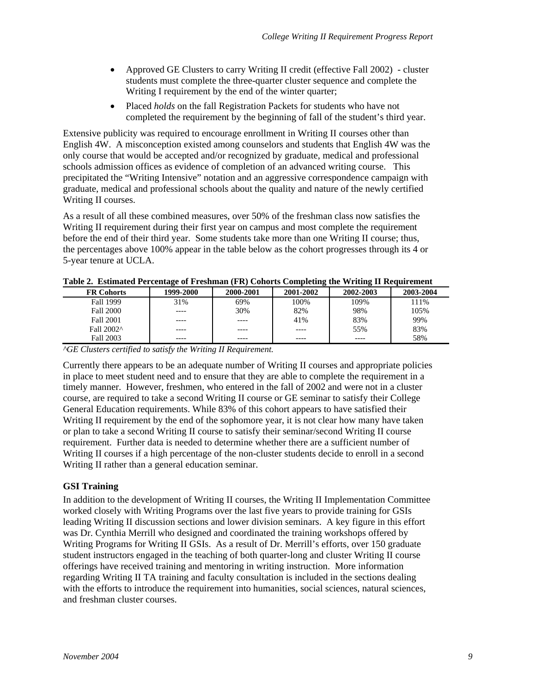- <span id="page-14-0"></span>• Approved GE Clusters to carry Writing II credit (effective Fall 2002) - cluster students must complete the three-quarter cluster sequence and complete the Writing I requirement by the end of the winter quarter;
- Placed *holds* on the fall Registration Packets for students who have not completed the requirement by the beginning of fall of the student's third year.

Extensive publicity was required to encourage enrollment in Writing II courses other than English 4W. A misconception existed among counselors and students that English 4W was the only course that would be accepted and/or recognized by graduate, medical and professional schools admission offices as evidence of completion of an advanced writing course. This precipitated the "Writing Intensive" notation and an aggressive correspondence campaign with graduate, medical and professional schools about the quality and nature of the newly certified Writing II courses.

As a result of all these combined measures, over 50% of the freshman class now satisfies the Writing II requirement during their first year on campus and most complete the requirement before the end of their third year. Some students take more than one Writing II course; thus, the percentages above 100% appear in the table below as the cohort progresses through its 4 or 5-year tenure at UCLA.

| <b>FR Cohorts</b> | 1999-2000 | 2000-2001 | 2001-2002 | 2002-2003 | 2003-2004 |
|-------------------|-----------|-----------|-----------|-----------|-----------|
| Fall 1999         | 31%       | 69%       | 100%      | 109%      | 111%      |
| <b>Fall 2000</b>  | -----     | 30%       | 82%       | 98%       | 105%      |
| Fall 2001         | ----      |           | 41%       | 83%       | 99%       |
| Fall 2002^        | -----     | ----      | ----      | 55%       | 83%       |
| Fall 2003         | ----      | ----      | ----      | ----      | 58%       |

**Table 2. Estimated Percentage of Freshman (FR) Cohorts Completing the Writing II Requirement** 

*^GE Clusters certified to satisfy the Writing II Requirement.* 

Currently there appears to be an adequate number of Writing II courses and appropriate policies in place to meet student need and to ensure that they are able to complete the requirement in a timely manner. However, freshmen, who entered in the fall of 2002 and were not in a cluster course, are required to take a second Writing II course or GE seminar to satisfy their College General Education requirements. While 83% of this cohort appears to have satisfied their Writing II requirement by the end of the sophomore year, it is not clear how many have taken or plan to take a second Writing II course to satisfy their seminar/second Writing II course requirement. Further data is needed to determine whether there are a sufficient number of Writing II courses if a high percentage of the non-cluster students decide to enroll in a second Writing II rather than a general education seminar.

### **GSI Training**

In addition to the development of Writing II courses, the Writing II Implementation Committee worked closely with Writing Programs over the last five years to provide training for GSIs leading Writing II discussion sections and lower division seminars. A key figure in this effort was Dr. Cynthia Merrill who designed and coordinated the training workshops offered by Writing Programs for Writing II GSIs. As a result of Dr. Merrill's efforts, over 150 graduate student instructors engaged in the teaching of both quarter-long and cluster Writing II course offerings have received training and mentoring in writing instruction. More information regarding Writing II TA training and faculty consultation is included in the sections dealing with the efforts to introduce the requirement into humanities, social sciences, natural sciences, and freshman cluster courses.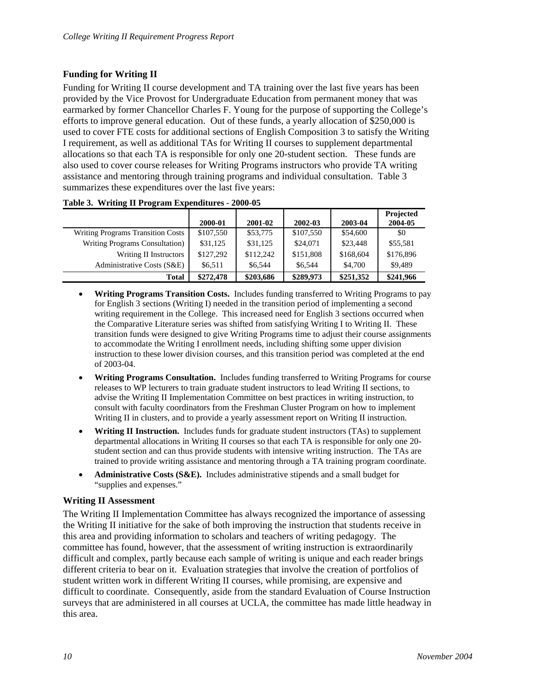## <span id="page-15-0"></span>**Funding for Writing II**

Funding for Writing II course development and TA training over the last five years has been provided by the Vice Provost for Undergraduate Education from permanent money that was earmarked by former Chancellor Charles F. Young for the purpose of supporting the College's efforts to improve general education. Out of these funds, a yearly allocation of \$250,000 is used to cover FTE costs for additional sections of English Composition 3 to satisfy the Writing I requirement, as well as additional TAs for Writing II courses to supplement departmental allocations so that each TA is responsible for only one 20-student section. These funds are also used to cover course releases for Writing Programs instructors who provide TA writing assistance and mentoring through training programs and individual consultation. Table 3 summarizes these expenditures over the last five years:

|                                   | 2000-01   | 2001-02   | 2002-03   | 2003-04   | Projected<br>2004-05 |
|-----------------------------------|-----------|-----------|-----------|-----------|----------------------|
| Writing Programs Transition Costs | \$107,550 | \$53,775  | \$107,550 | \$54,600  | \$0                  |
| Writing Programs Consultation     | \$31,125  | \$31,125  | \$24,071  | \$23,448  | \$55,581             |
| Writing II Instructors            | \$127,292 | \$112,242 | \$151,808 | \$168,604 | \$176,896            |
| Administrative Costs (S&E)        | \$6.511   | \$6.544   | \$6.544   | \$4,700   | \$9.489              |
| Total                             | \$272,478 | \$203,686 | \$289,973 | \$251,352 | \$241,966            |

- **Writing Programs Transition Costs.** Includes funding transferred to Writing Programs to pay for English 3 sections (Writing I) needed in the transition period of implementing a second writing requirement in the College. This increased need for English 3 sections occurred when the Comparative Literature series was shifted from satisfying Writing I to Writing II. These transition funds were designed to give Writing Programs time to adjust their course assignments to accommodate the Writing I enrollment needs, including shifting some upper division instruction to these lower division courses, and this transition period was completed at the end of 2003-04.
- **Writing Programs Consultation.** Includes funding transferred to Writing Programs for course releases to WP lecturers to train graduate student instructors to lead Writing II sections, to advise the Writing II Implementation Committee on best practices in writing instruction, to consult with faculty coordinators from the Freshman Cluster Program on how to implement Writing II in clusters, and to provide a yearly assessment report on Writing II instruction.
- **Writing II Instruction.** Includes funds for graduate student instructors (TAs) to supplement departmental allocations in Writing II courses so that each TA is responsible for only one 20 student section and can thus provide students with intensive writing instruction. The TAs are trained to provide writing assistance and mentoring through a TA training program coordinate.
- **Administrative Costs (S&E).** Includes administrative stipends and a small budget for "supplies and expenses."

### **Writing II Assessment**

The Writing II Implementation Committee has always recognized the importance of assessing the Writing II initiative for the sake of both improving the instruction that students receive in this area and providing information to scholars and teachers of writing pedagogy. The committee has found, however, that the assessment of writing instruction is extraordinarily difficult and complex, partly because each sample of writing is unique and each reader brings different criteria to bear on it. Evaluation strategies that involve the creation of portfolios of student written work in different Writing II courses, while promising, are expensive and difficult to coordinate. Consequently, aside from the standard Evaluation of Course Instruction surveys that are administered in all courses at UCLA, the committee has made little headway in this area.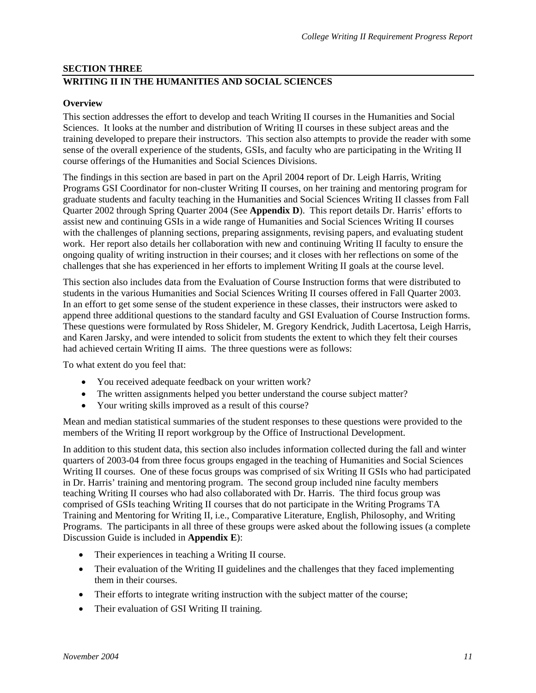## <span id="page-16-0"></span>**SECTION THREE WRITING II IN THE HUMANITIES AND SOCIAL SCIENCES**

## **Overview**

This section addresses the effort to develop and teach Writing II courses in the Humanities and Social Sciences. It looks at the number and distribution of Writing II courses in these subject areas and the training developed to prepare their instructors. This section also attempts to provide the reader with some sense of the overall experience of the students, GSIs, and faculty who are participating in the Writing II course offerings of the Humanities and Social Sciences Divisions.

The findings in this section are based in part on the April 2004 report of Dr. Leigh Harris, Writing Programs GSI Coordinator for non-cluster Writing II courses, on her training and mentoring program for graduate students and faculty teaching in the Humanities and Social Sciences Writing II classes from Fall Quarter 2002 through Spring Quarter 2004 (See **Appendix D**). This report details Dr. Harris' efforts to assist new and continuing GSIs in a wide range of Humanities and Social Sciences Writing II courses with the challenges of planning sections, preparing assignments, revising papers, and evaluating student work. Her report also details her collaboration with new and continuing Writing II faculty to ensure the ongoing quality of writing instruction in their courses; and it closes with her reflections on some of the challenges that she has experienced in her efforts to implement Writing II goals at the course level.

This section also includes data from the Evaluation of Course Instruction forms that were distributed to students in the various Humanities and Social Sciences Writing II courses offered in Fall Quarter 2003. In an effort to get some sense of the student experience in these classes, their instructors were asked to append three additional questions to the standard faculty and GSI Evaluation of Course Instruction forms. These questions were formulated by Ross Shideler, M. Gregory Kendrick, Judith Lacertosa, Leigh Harris, and Karen Jarsky, and were intended to solicit from students the extent to which they felt their courses had achieved certain Writing II aims. The three questions were as follows:

To what extent do you feel that:

- You received adequate feedback on your written work?
- The written assignments helped you better understand the course subject matter?
- Your writing skills improved as a result of this course?

Mean and median statistical summaries of the student responses to these questions were provided to the members of the Writing II report workgroup by the Office of Instructional Development.

In addition to this student data, this section also includes information collected during the fall and winter quarters of 2003-04 from three focus groups engaged in the teaching of Humanities and Social Sciences Writing II courses. One of these focus groups was comprised of six Writing II GSIs who had participated in Dr. Harris' training and mentoring program. The second group included nine faculty members teaching Writing II courses who had also collaborated with Dr. Harris. The third focus group was comprised of GSIs teaching Writing II courses that do not participate in the Writing Programs TA Training and Mentoring for Writing II, i.e., Comparative Literature, English, Philosophy, and Writing Programs. The participants in all three of these groups were asked about the following issues (a complete Discussion Guide is included in **Appendix E**):

- Their experiences in teaching a Writing II course.
- Their evaluation of the Writing II guidelines and the challenges that they faced implementing them in their courses.
- Their efforts to integrate writing instruction with the subject matter of the course;
- Their evaluation of GSI Writing II training.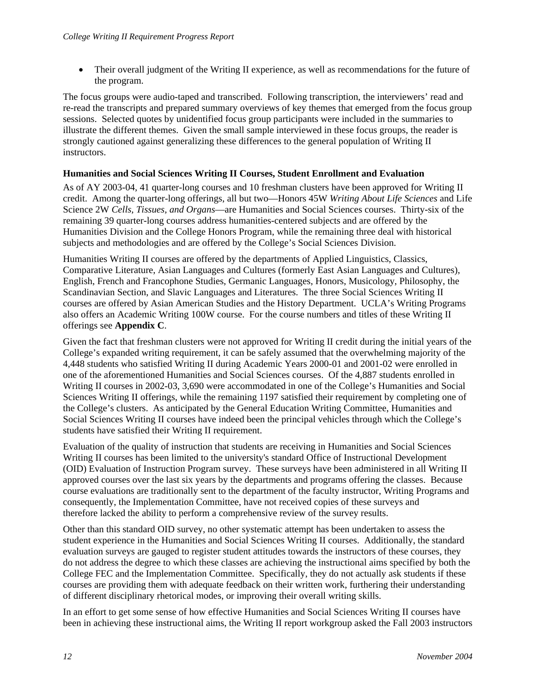<span id="page-17-0"></span>• Their overall judgment of the Writing II experience, as well as recommendations for the future of the program.

The focus groups were audio-taped and transcribed. Following transcription, the interviewers' read and re-read the transcripts and prepared summary overviews of key themes that emerged from the focus group sessions. Selected quotes by unidentified focus group participants were included in the summaries to illustrate the different themes. Given the small sample interviewed in these focus groups, the reader is strongly cautioned against generalizing these differences to the general population of Writing II instructors.

## **Humanities and Social Sciences Writing II Courses, Student Enrollment and Evaluation**

As of AY 2003-04, 41 quarter-long courses and 10 freshman clusters have been approved for Writing II credit. Among the quarter-long offerings, all but two—Honors 45W *Writing About Life Sciences* and Life Science 2W *Cells, Tissues, and Organs*—are Humanities and Social Sciences courses. Thirty-six of the remaining 39 quarter-long courses address humanities-centered subjects and are offered by the Humanities Division and the College Honors Program, while the remaining three deal with historical subjects and methodologies and are offered by the College's Social Sciences Division.

Humanities Writing II courses are offered by the departments of Applied Linguistics, Classics, Comparative Literature, Asian Languages and Cultures (formerly East Asian Languages and Cultures), English, French and Francophone Studies, Germanic Languages, Honors, Musicology, Philosophy, the Scandinavian Section, and Slavic Languages and Literatures. The three Social Sciences Writing II courses are offered by Asian American Studies and the History Department. UCLA's Writing Programs also offers an Academic Writing 100W course. For the course numbers and titles of these Writing II offerings see **Appendix C**.

Given the fact that freshman clusters were not approved for Writing II credit during the initial years of the College's expanded writing requirement, it can be safely assumed that the overwhelming majority of the 4,448 students who satisfied Writing II during Academic Years 2000-01 and 2001-02 were enrolled in one of the aforementioned Humanities and Social Sciences courses. Of the 4,887 students enrolled in Writing II courses in 2002-03, 3,690 were accommodated in one of the College's Humanities and Social Sciences Writing II offerings, while the remaining 1197 satisfied their requirement by completing one of the College's clusters. As anticipated by the General Education Writing Committee, Humanities and Social Sciences Writing II courses have indeed been the principal vehicles through which the College's students have satisfied their Writing II requirement.

Evaluation of the quality of instruction that students are receiving in Humanities and Social Sciences Writing II courses has been limited to the university's standard Office of Instructional Development (OID) Evaluation of Instruction Program survey. These surveys have been administered in all Writing II approved courses over the last six years by the departments and programs offering the classes. Because course evaluations are traditionally sent to the department of the faculty instructor, Writing Programs and consequently, the Implementation Committee, have not received copies of these surveys and therefore lacked the ability to perform a comprehensive review of the survey results.

Other than this standard OID survey, no other systematic attempt has been undertaken to assess the student experience in the Humanities and Social Sciences Writing II courses. Additionally, the standard evaluation surveys are gauged to register student attitudes towards the instructors of these courses, they do not address the degree to which these classes are achieving the instructional aims specified by both the College FEC and the Implementation Committee. Specifically, they do not actually ask students if these courses are providing them with adequate feedback on their written work, furthering their understanding of different disciplinary rhetorical modes, or improving their overall writing skills.

In an effort to get some sense of how effective Humanities and Social Sciences Writing II courses have been in achieving these instructional aims, the Writing II report workgroup asked the Fall 2003 instructors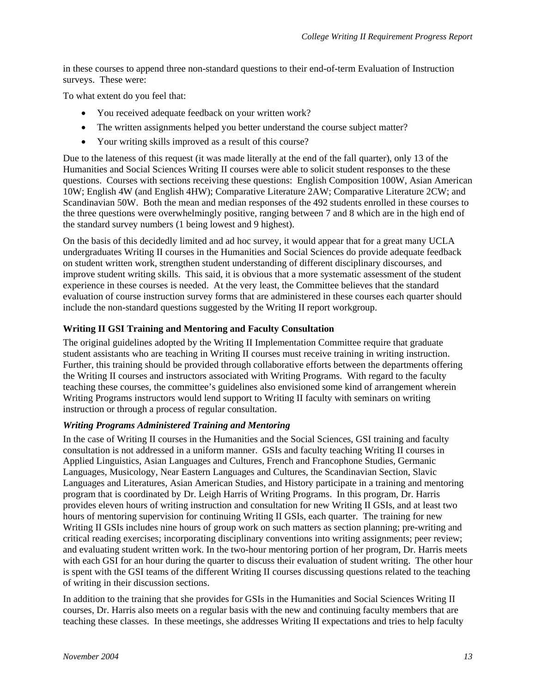<span id="page-18-0"></span>in these courses to append three non-standard questions to their end-of-term Evaluation of Instruction surveys. These were:

To what extent do you feel that:

- You received adequate feedback on your written work?
- The written assignments helped you better understand the course subject matter?
- Your writing skills improved as a result of this course?

Due to the lateness of this request (it was made literally at the end of the fall quarter), only 13 of the Humanities and Social Sciences Writing II courses were able to solicit student responses to the these questions. Courses with sections receiving these questions: English Composition 100W, Asian American 10W; English 4W (and English 4HW); Comparative Literature 2AW; Comparative Literature 2CW; and Scandinavian 50W. Both the mean and median responses of the 492 students enrolled in these courses to the three questions were overwhelmingly positive, ranging between 7 and 8 which are in the high end of the standard survey numbers (1 being lowest and 9 highest).

On the basis of this decidedly limited and ad hoc survey, it would appear that for a great many UCLA undergraduates Writing II courses in the Humanities and Social Sciences do provide adequate feedback on student written work, strengthen student understanding of different disciplinary discourses, and improve student writing skills. This said, it is obvious that a more systematic assessment of the student experience in these courses is needed. At the very least, the Committee believes that the standard evaluation of course instruction survey forms that are administered in these courses each quarter should include the non-standard questions suggested by the Writing II report workgroup.

## **Writing II GSI Training and Mentoring and Faculty Consultation**

The original guidelines adopted by the Writing II Implementation Committee require that graduate student assistants who are teaching in Writing II courses must receive training in writing instruction. Further, this training should be provided through collaborative efforts between the departments offering the Writing II courses and instructors associated with Writing Programs. With regard to the faculty teaching these courses, the committee's guidelines also envisioned some kind of arrangement wherein Writing Programs instructors would lend support to Writing II faculty with seminars on writing instruction or through a process of regular consultation.

### *Writing Programs Administered Training and Mentoring*

In the case of Writing II courses in the Humanities and the Social Sciences, GSI training and faculty consultation is not addressed in a uniform manner. GSIs and faculty teaching Writing II courses in Applied Linguistics, Asian Languages and Cultures, French and Francophone Studies, Germanic Languages, Musicology, Near Eastern Languages and Cultures, the Scandinavian Section, Slavic Languages and Literatures, Asian American Studies, and History participate in a training and mentoring program that is coordinated by Dr. Leigh Harris of Writing Programs. In this program, Dr. Harris provides eleven hours of writing instruction and consultation for new Writing II GSIs, and at least two hours of mentoring supervision for continuing Writing II GSIs, each quarter. The training for new Writing II GSIs includes nine hours of group work on such matters as section planning; pre-writing and critical reading exercises; incorporating disciplinary conventions into writing assignments; peer review; and evaluating student written work. In the two-hour mentoring portion of her program, Dr. Harris meets with each GSI for an hour during the quarter to discuss their evaluation of student writing. The other hour is spent with the GSI teams of the different Writing II courses discussing questions related to the teaching of writing in their discussion sections.

In addition to the training that she provides for GSIs in the Humanities and Social Sciences Writing II courses, Dr. Harris also meets on a regular basis with the new and continuing faculty members that are teaching these classes. In these meetings, she addresses Writing II expectations and tries to help faculty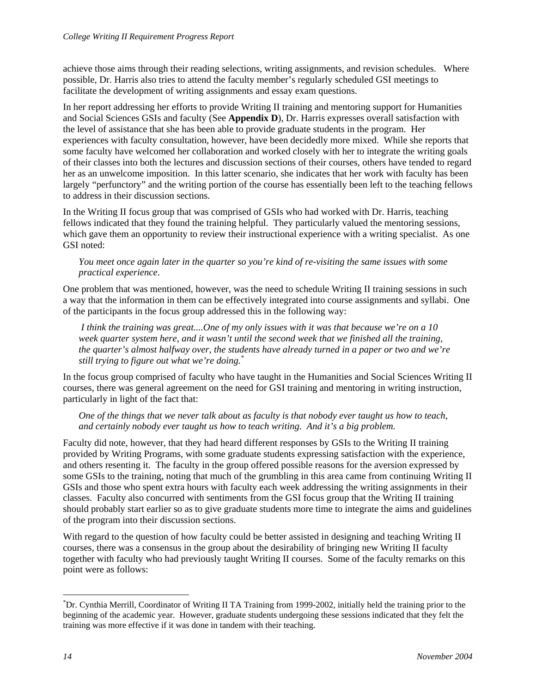achieve those aims through their reading selections, writing assignments, and revision schedules. Where possible, Dr. Harris also tries to attend the faculty member's regularly scheduled GSI meetings to facilitate the development of writing assignments and essay exam questions.

In her report addressing her efforts to provide Writing II training and mentoring support for Humanities and Social Sciences GSIs and faculty (See **Appendix D**), Dr. Harris expresses overall satisfaction with the level of assistance that she has been able to provide graduate students in the program. Her experiences with faculty consultation, however, have been decidedly more mixed. While she reports that some faculty have welcomed her collaboration and worked closely with her to integrate the writing goals of their classes into both the lectures and discussion sections of their courses, others have tended to regard her as an unwelcome imposition. In this latter scenario, she indicates that her work with faculty has been largely "perfunctory" and the writing portion of the course has essentially been left to the teaching fellows to address in their discussion sections.

In the Writing II focus group that was comprised of GSIs who had worked with Dr. Harris, teaching fellows indicated that they found the training helpful. They particularly valued the mentoring sessions, which gave them an opportunity to review their instructional experience with a writing specialist. As one GSI noted:

*You meet once again later in the quarter so you're kind of re-visiting the same issues with some practical experience*.

One problem that was mentioned, however, was the need to schedule Writing II training sessions in such a way that the information in them can be effectively integrated into course assignments and syllabi. One of the participants in the focus group addressed this in the following way:

*I think the training was great....One of my only issues with it was that because we're on a 10 week quarter system here, and it wasn't until the second week that we finished all the training, the quarter's almost halfway over, the students have already turned in a paper or two and we're still trying to figure out what we're doing.[\\*](#page-19-0)*

In the focus group comprised of faculty who have taught in the Humanities and Social Sciences Writing II courses, there was general agreement on the need for GSI training and mentoring in writing instruction, particularly in light of the fact that:

*One of the things that we never talk about as faculty is that nobody ever taught us how to teach, and certainly nobody ever taught us how to teach writing. And it's a big problem.* 

Faculty did note, however, that they had heard different responses by GSIs to the Writing II training provided by Writing Programs, with some graduate students expressing satisfaction with the experience, and others resenting it. The faculty in the group offered possible reasons for the aversion expressed by some GSIs to the training, noting that much of the grumbling in this area came from continuing Writing II GSIs and those who spent extra hours with faculty each week addressing the writing assignments in their classes. Faculty also concurred with sentiments from the GSI focus group that the Writing II training should probably start earlier so as to give graduate students more time to integrate the aims and guidelines of the program into their discussion sections.

With regard to the question of how faculty could be better assisted in designing and teaching Writing II courses, there was a consensus in the group about the desirability of bringing new Writing II faculty together with faculty who had previously taught Writing II courses. Some of the faculty remarks on this point were as follows:

 $\overline{a}$ 

<span id="page-19-0"></span><sup>\*</sup> Dr. Cynthia Merrill, Coordinator of Writing II TA Training from 1999-2002, initially held the training prior to the beginning of the academic year. However, graduate students undergoing these sessions indicated that they felt the training was more effective if it was done in tandem with their teaching.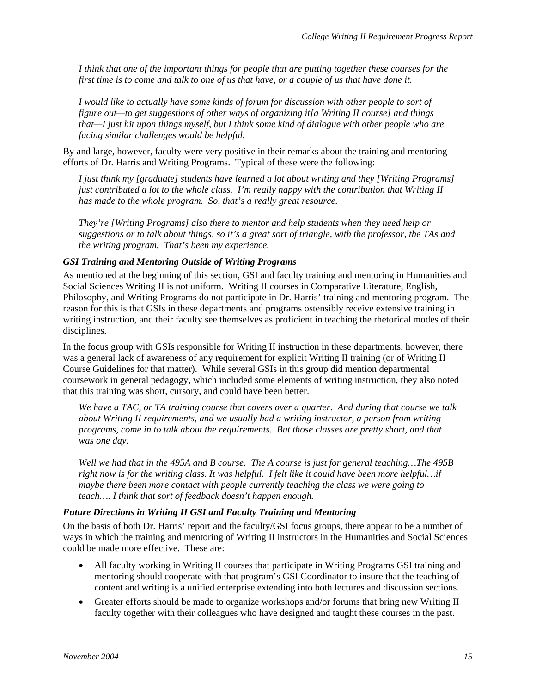<span id="page-20-0"></span>*I think that one of the important things for people that are putting together these courses for the first time is to come and talk to one of us that have, or a couple of us that have done it.* 

*I would like to actually have some kinds of forum for discussion with other people to sort of figure out—to get suggestions of other ways of organizing it[a Writing II course] and things that—I just hit upon things myself, but I think some kind of dialogue with other people who are facing similar challenges would be helpful.* 

By and large, however, faculty were very positive in their remarks about the training and mentoring efforts of Dr. Harris and Writing Programs. Typical of these were the following:

*I just think my [graduate] students have learned a lot about writing and they [Writing Programs] just contributed a lot to the whole class. I'm really happy with the contribution that Writing II has made to the whole program. So, that's a really great resource.* 

*They're [Writing Programs] also there to mentor and help students when they need help or suggestions or to talk about things, so it's a great sort of triangle, with the professor, the TAs and the writing program. That's been my experience.* 

### *GSI Training and Mentoring Outside of Writing Programs*

As mentioned at the beginning of this section, GSI and faculty training and mentoring in Humanities and Social Sciences Writing II is not uniform. Writing II courses in Comparative Literature, English, Philosophy, and Writing Programs do not participate in Dr. Harris' training and mentoring program. The reason for this is that GSIs in these departments and programs ostensibly receive extensive training in writing instruction, and their faculty see themselves as proficient in teaching the rhetorical modes of their disciplines.

In the focus group with GSIs responsible for Writing II instruction in these departments, however, there was a general lack of awareness of any requirement for explicit Writing II training (or of Writing II Course Guidelines for that matter). While several GSIs in this group did mention departmental coursework in general pedagogy, which included some elements of writing instruction, they also noted that this training was short, cursory, and could have been better.

*We have a TAC, or TA training course that covers over a quarter. And during that course we talk about Writing II requirements, and we usually had a writing instructor, a person from writing programs, come in to talk about the requirements. But those classes are pretty short, and that was one day.*

*Well we had that in the 495A and B course. The A course is just for general teaching…The 495B right now is for the writing class. It was helpful. I felt like it could have been more helpful…if maybe there been more contact with people currently teaching the class we were going to teach…. I think that sort of feedback doesn't happen enough.* 

### *Future Directions in Writing II GSI and Faculty Training and Mentoring*

On the basis of both Dr. Harris' report and the faculty/GSI focus groups, there appear to be a number of ways in which the training and mentoring of Writing II instructors in the Humanities and Social Sciences could be made more effective. These are:

- All faculty working in Writing II courses that participate in Writing Programs GSI training and mentoring should cooperate with that program's GSI Coordinator to insure that the teaching of content and writing is a unified enterprise extending into both lectures and discussion sections.
- Greater efforts should be made to organize workshops and/or forums that bring new Writing II faculty together with their colleagues who have designed and taught these courses in the past.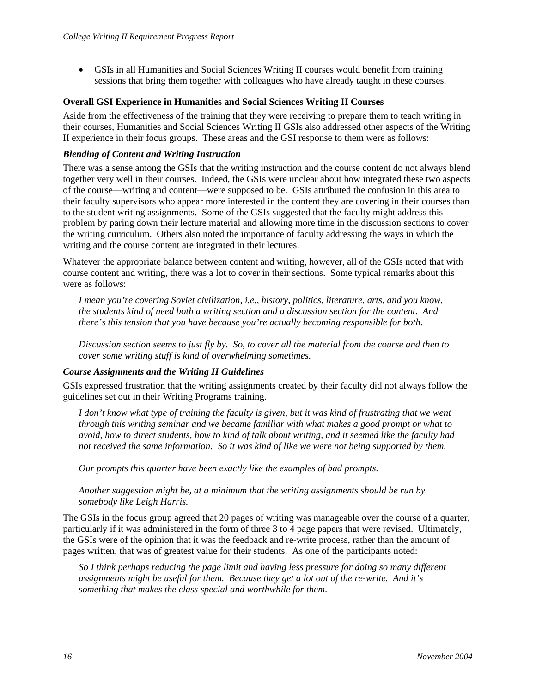<span id="page-21-0"></span>• GSIs in all Humanities and Social Sciences Writing II courses would benefit from training sessions that bring them together with colleagues who have already taught in these courses.

### **Overall GSI Experience in Humanities and Social Sciences Writing II Courses**

Aside from the effectiveness of the training that they were receiving to prepare them to teach writing in their courses, Humanities and Social Sciences Writing II GSIs also addressed other aspects of the Writing II experience in their focus groups. These areas and the GSI response to them were as follows:

### *Blending of Content and Writing Instruction*

There was a sense among the GSIs that the writing instruction and the course content do not always blend together very well in their courses. Indeed, the GSIs were unclear about how integrated these two aspects of the course—writing and content—were supposed to be. GSIs attributed the confusion in this area to their faculty supervisors who appear more interested in the content they are covering in their courses than to the student writing assignments. Some of the GSIs suggested that the faculty might address this problem by paring down their lecture material and allowing more time in the discussion sections to cover the writing curriculum. Others also noted the importance of faculty addressing the ways in which the writing and the course content are integrated in their lectures.

Whatever the appropriate balance between content and writing, however, all of the GSIs noted that with course content and writing, there was a lot to cover in their sections. Some typical remarks about this were as follows:

*I mean you're covering Soviet civilization, i.e., history, politics, literature, arts, and you know, the students kind of need both a writing section and a discussion section for the content. And there's this tension that you have because you're actually becoming responsible for both.* 

*Discussion section seems to just fly by. So, to cover all the material from the course and then to cover some writing stuff is kind of overwhelming sometimes.* 

#### *Course Assignments and the Writing II Guidelines*

GSIs expressed frustration that the writing assignments created by their faculty did not always follow the guidelines set out in their Writing Programs training.

*I don't know what type of training the faculty is given, but it was kind of frustrating that we went through this writing seminar and we became familiar with what makes a good prompt or what to avoid, how to direct students, how to kind of talk about writing, and it seemed like the faculty had not received the same information. So it was kind of like we were not being supported by them.* 

*Our prompts this quarter have been exactly like the examples of bad prompts.* 

*Another suggestion might be, at a minimum that the writing assignments should be run by somebody like Leigh Harris.* 

The GSIs in the focus group agreed that 20 pages of writing was manageable over the course of a quarter, particularly if it was administered in the form of three 3 to 4 page papers that were revised. Ultimately, the GSIs were of the opinion that it was the feedback and re-write process, rather than the amount of pages written, that was of greatest value for their students. As one of the participants noted:

*So I think perhaps reducing the page limit and having less pressure for doing so many different assignments might be useful for them. Because they get a lot out of the re-write. And it's something that makes the class special and worthwhile for them.*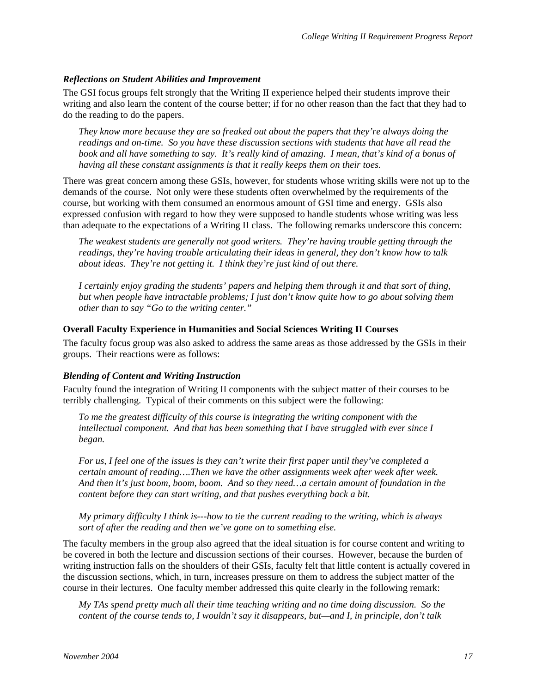## <span id="page-22-0"></span>*Reflections on Student Abilities and Improvement*

The GSI focus groups felt strongly that the Writing II experience helped their students improve their writing and also learn the content of the course better; if for no other reason than the fact that they had to do the reading to do the papers.

*They know more because they are so freaked out about the papers that they're always doing the readings and on-time. So you have these discussion sections with students that have all read the book and all have something to say. It's really kind of amazing. I mean, that's kind of a bonus of having all these constant assignments is that it really keeps them on their toes.*

There was great concern among these GSIs, however, for students whose writing skills were not up to the demands of the course. Not only were these students often overwhelmed by the requirements of the course, but working with them consumed an enormous amount of GSI time and energy. GSIs also expressed confusion with regard to how they were supposed to handle students whose writing was less than adequate to the expectations of a Writing II class. The following remarks underscore this concern:

*The weakest students are generally not good writers. They're having trouble getting through the readings, they're having trouble articulating their ideas in general, they don't know how to talk about ideas. They're not getting it. I think they're just kind of out there.* 

*I certainly enjoy grading the students' papers and helping them through it and that sort of thing, but when people have intractable problems; I just don't know quite how to go about solving them other than to say "Go to the writing center."* 

## **Overall Faculty Experience in Humanities and Social Sciences Writing II Courses**

The faculty focus group was also asked to address the same areas as those addressed by the GSIs in their groups. Their reactions were as follows:

## *Blending of Content and Writing Instruction*

Faculty found the integration of Writing II components with the subject matter of their courses to be terribly challenging. Typical of their comments on this subject were the following:

*To me the greatest difficulty of this course is integrating the writing component with the intellectual component. And that has been something that I have struggled with ever since I began.* 

*For us, I feel one of the issues is they can't write their first paper until they've completed a certain amount of reading….Then we have the other assignments week after week after week. And then it's just boom, boom, boom. And so they need…a certain amount of foundation in the content before they can start writing, and that pushes everything back a bit.* 

*My primary difficulty I think is---how to tie the current reading to the writing, which is always sort of after the reading and then we've gone on to something else.* 

The faculty members in the group also agreed that the ideal situation is for course content and writing to be covered in both the lecture and discussion sections of their courses. However, because the burden of writing instruction falls on the shoulders of their GSIs, faculty felt that little content is actually covered in the discussion sections, which, in turn, increases pressure on them to address the subject matter of the course in their lectures. One faculty member addressed this quite clearly in the following remark:

*My TAs spend pretty much all their time teaching writing and no time doing discussion. So the content of the course tends to, I wouldn't say it disappears, but—and I, in principle, don't talk*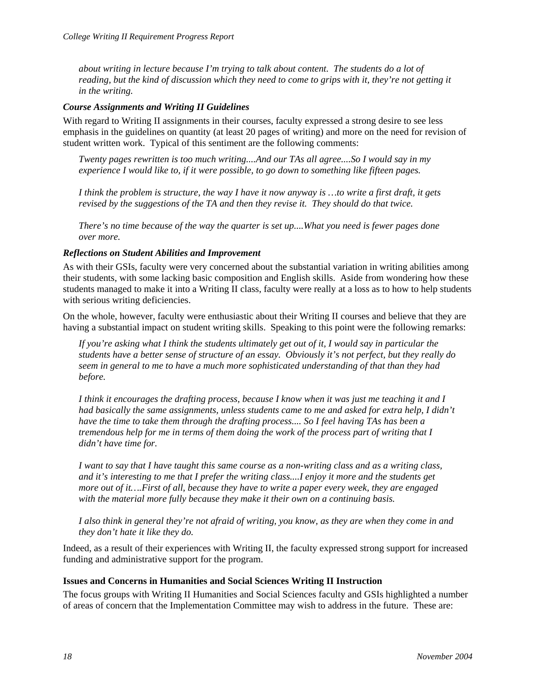<span id="page-23-0"></span>*about writing in lecture because I'm trying to talk about content. The students do a lot of reading, but the kind of discussion which they need to come to grips with it, they're not getting it in the writing.* 

### *Course Assignments and Writing II Guidelines*

With regard to Writing II assignments in their courses, faculty expressed a strong desire to see less emphasis in the guidelines on quantity (at least 20 pages of writing) and more on the need for revision of student written work. Typical of this sentiment are the following comments:

*Twenty pages rewritten is too much writing....And our TAs all agree....So I would say in my experience I would like to, if it were possible, to go down to something like fifteen pages.* 

*I think the problem is structure, the way I have it now anyway is …to write a first draft, it gets revised by the suggestions of the TA and then they revise it. They should do that twice.* 

*There's no time because of the way the quarter is set up....What you need is fewer pages done over more.* 

### *Reflections on Student Abilities and Improvement*

As with their GSIs, faculty were very concerned about the substantial variation in writing abilities among their students, with some lacking basic composition and English skills. Aside from wondering how these students managed to make it into a Writing II class, faculty were really at a loss as to how to help students with serious writing deficiencies.

On the whole, however, faculty were enthusiastic about their Writing II courses and believe that they are having a substantial impact on student writing skills. Speaking to this point were the following remarks:

*If you're asking what I think the students ultimately get out of it, I would say in particular the students have a better sense of structure of an essay. Obviously it's not perfect, but they really do seem in general to me to have a much more sophisticated understanding of that than they had before.* 

*I think it encourages the drafting process, because I know when it was just me teaching it and I had basically the same assignments, unless students came to me and asked for extra help, I didn't have the time to take them through the drafting process.... So I feel having TAs has been a tremendous help for me in terms of them doing the work of the process part of writing that I didn't have time for.* 

*I want to say that I have taught this same course as a non-writing class and as a writing class, and it's interesting to me that I prefer the writing class....I enjoy it more and the students get more out of it….First of all, because they have to write a paper every week, they are engaged with the material more fully because they make it their own on a continuing basis.* 

*I also think in general they're not afraid of writing, you know, as they are when they come in and they don't hate it like they do.* 

Indeed, as a result of their experiences with Writing II, the faculty expressed strong support for increased funding and administrative support for the program.

### **Issues and Concerns in Humanities and Social Sciences Writing II Instruction**

The focus groups with Writing II Humanities and Social Sciences faculty and GSIs highlighted a number of areas of concern that the Implementation Committee may wish to address in the future. These are: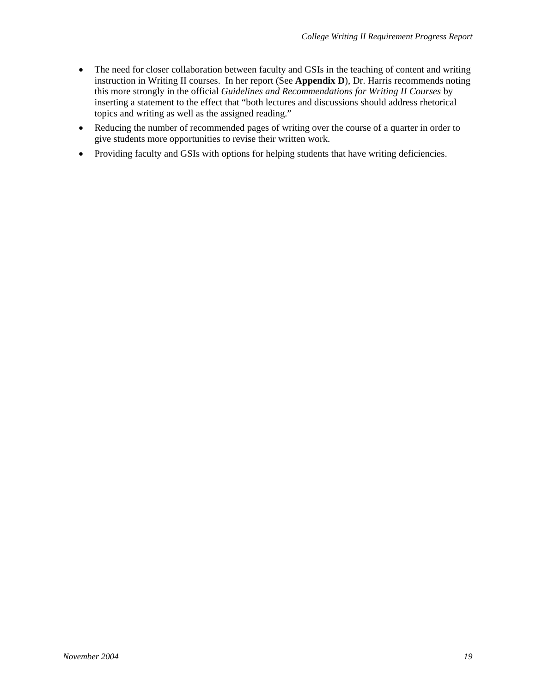- The need for closer collaboration between faculty and GSIs in the teaching of content and writing instruction in Writing II courses. In her report (See **Appendix D**), Dr. Harris recommends noting this more strongly in the official *Guidelines and Recommendations for Writing II Courses* by inserting a statement to the effect that "both lectures and discussions should address rhetorical topics and writing as well as the assigned reading."
- Reducing the number of recommended pages of writing over the course of a quarter in order to give students more opportunities to revise their written work.
- Providing faculty and GSIs with options for helping students that have writing deficiencies.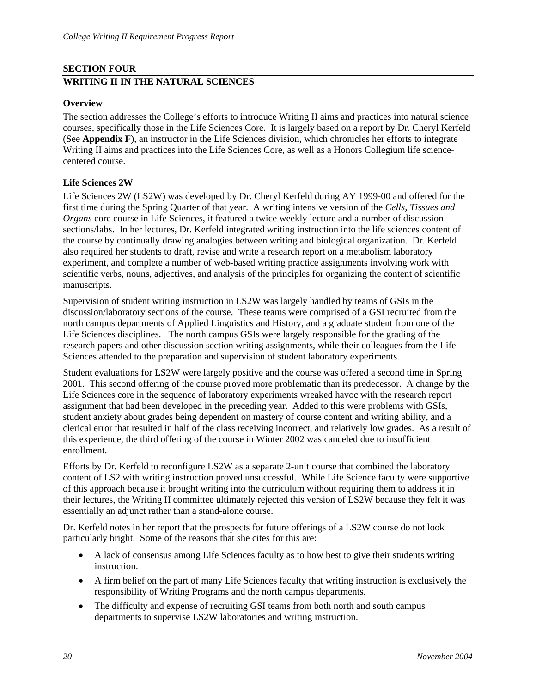## <span id="page-25-0"></span>**SECTION FOUR WRITING II IN THE NATURAL SCIENCES**

## **Overview**

The section addresses the College's efforts to introduce Writing II aims and practices into natural science courses, specifically those in the Life Sciences Core. It is largely based on a report by Dr. Cheryl Kerfeld (See **Appendix F**), an instructor in the Life Sciences division, which chronicles her efforts to integrate Writing II aims and practices into the Life Sciences Core, as well as a Honors Collegium life sciencecentered course.

## **Life Sciences 2W**

Life Sciences 2W (LS2W) was developed by Dr. Cheryl Kerfeld during AY 1999-00 and offered for the first time during the Spring Quarter of that year. A writing intensive version of the *Cells, Tissues and Organs* core course in Life Sciences, it featured a twice weekly lecture and a number of discussion sections/labs. In her lectures, Dr. Kerfeld integrated writing instruction into the life sciences content of the course by continually drawing analogies between writing and biological organization. Dr. Kerfeld also required her students to draft, revise and write a research report on a metabolism laboratory experiment, and complete a number of web-based writing practice assignments involving work with scientific verbs, nouns, adjectives, and analysis of the principles for organizing the content of scientific manuscripts.

Supervision of student writing instruction in LS2W was largely handled by teams of GSIs in the discussion/laboratory sections of the course. These teams were comprised of a GSI recruited from the north campus departments of Applied Linguistics and History, and a graduate student from one of the Life Sciences disciplines. The north campus GSIs were largely responsible for the grading of the research papers and other discussion section writing assignments, while their colleagues from the Life Sciences attended to the preparation and supervision of student laboratory experiments.

Student evaluations for LS2W were largely positive and the course was offered a second time in Spring 2001. This second offering of the course proved more problematic than its predecessor. A change by the Life Sciences core in the sequence of laboratory experiments wreaked havoc with the research report assignment that had been developed in the preceding year. Added to this were problems with GSIs, student anxiety about grades being dependent on mastery of course content and writing ability, and a clerical error that resulted in half of the class receiving incorrect, and relatively low grades. As a result of this experience, the third offering of the course in Winter 2002 was canceled due to insufficient enrollment.

Efforts by Dr. Kerfeld to reconfigure LS2W as a separate 2-unit course that combined the laboratory content of LS2 with writing instruction proved unsuccessful. While Life Science faculty were supportive of this approach because it brought writing into the curriculum without requiring them to address it in their lectures, the Writing II committee ultimately rejected this version of LS2W because they felt it was essentially an adjunct rather than a stand-alone course.

Dr. Kerfeld notes in her report that the prospects for future offerings of a LS2W course do not look particularly bright. Some of the reasons that she cites for this are:

- A lack of consensus among Life Sciences faculty as to how best to give their students writing instruction.
- A firm belief on the part of many Life Sciences faculty that writing instruction is exclusively the responsibility of Writing Programs and the north campus departments.
- The difficulty and expense of recruiting GSI teams from both north and south campus departments to supervise LS2W laboratories and writing instruction.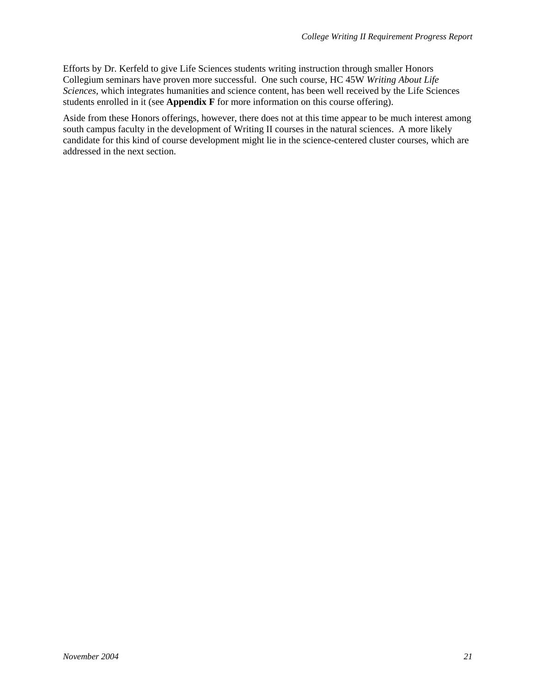Efforts by Dr. Kerfeld to give Life Sciences students writing instruction through smaller Honors Collegium seminars have proven more successful. One such course, HC 45W *Writing About Life Sciences*, which integrates humanities and science content, has been well received by the Life Sciences students enrolled in it (see **Appendix F** for more information on this course offering).

Aside from these Honors offerings, however, there does not at this time appear to be much interest among south campus faculty in the development of Writing II courses in the natural sciences. A more likely candidate for this kind of course development might lie in the science-centered cluster courses, which are addressed in the next section.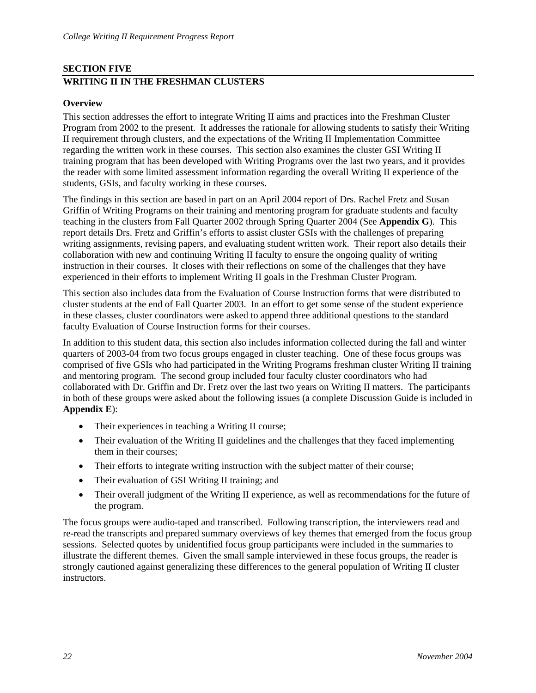## <span id="page-27-0"></span>**SECTION FIVE WRITING II IN THE FRESHMAN CLUSTERS**

## **Overview**

This section addresses the effort to integrate Writing II aims and practices into the Freshman Cluster Program from 2002 to the present. It addresses the rationale for allowing students to satisfy their Writing II requirement through clusters, and the expectations of the Writing II Implementation Committee regarding the written work in these courses. This section also examines the cluster GSI Writing II training program that has been developed with Writing Programs over the last two years, and it provides the reader with some limited assessment information regarding the overall Writing II experience of the students, GSIs, and faculty working in these courses.

The findings in this section are based in part on an April 2004 report of Drs. Rachel Fretz and Susan Griffin of Writing Programs on their training and mentoring program for graduate students and faculty teaching in the clusters from Fall Quarter 2002 through Spring Quarter 2004 (See **Appendix G**). This report details Drs. Fretz and Griffin's efforts to assist cluster GSIs with the challenges of preparing writing assignments, revising papers, and evaluating student written work. Their report also details their collaboration with new and continuing Writing II faculty to ensure the ongoing quality of writing instruction in their courses. It closes with their reflections on some of the challenges that they have experienced in their efforts to implement Writing II goals in the Freshman Cluster Program.

This section also includes data from the Evaluation of Course Instruction forms that were distributed to cluster students at the end of Fall Quarter 2003. In an effort to get some sense of the student experience in these classes, cluster coordinators were asked to append three additional questions to the standard faculty Evaluation of Course Instruction forms for their courses.

In addition to this student data, this section also includes information collected during the fall and winter quarters of 2003-04 from two focus groups engaged in cluster teaching. One of these focus groups was comprised of five GSIs who had participated in the Writing Programs freshman cluster Writing II training and mentoring program. The second group included four faculty cluster coordinators who had collaborated with Dr. Griffin and Dr. Fretz over the last two years on Writing II matters. The participants in both of these groups were asked about the following issues (a complete Discussion Guide is included in **Appendix E**):

- Their experiences in teaching a Writing II course;
- Their evaluation of the Writing II guidelines and the challenges that they faced implementing them in their courses;
- Their efforts to integrate writing instruction with the subject matter of their course;
- Their evaluation of GSI Writing II training; and
- Their overall judgment of the Writing II experience, as well as recommendations for the future of the program.

The focus groups were audio-taped and transcribed. Following transcription, the interviewers read and re-read the transcripts and prepared summary overviews of key themes that emerged from the focus group sessions. Selected quotes by unidentified focus group participants were included in the summaries to illustrate the different themes. Given the small sample interviewed in these focus groups, the reader is strongly cautioned against generalizing these differences to the general population of Writing II cluster instructors.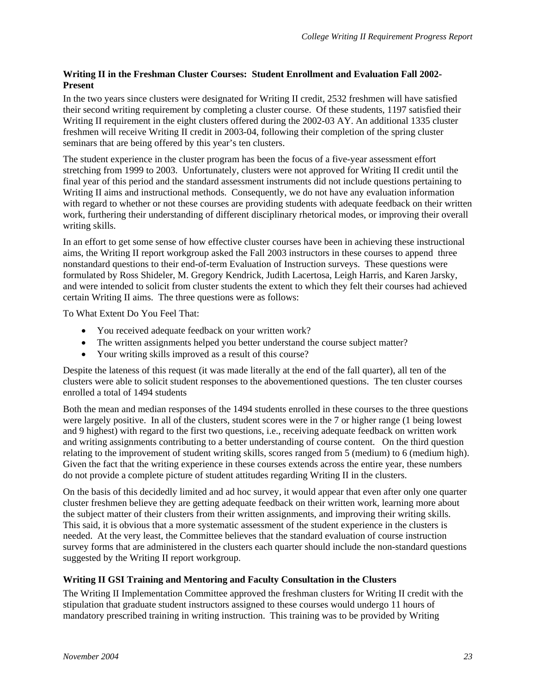## <span id="page-28-0"></span>**Writing II in the Freshman Cluster Courses: Student Enrollment and Evaluation Fall 2002- Present**

In the two years since clusters were designated for Writing II credit, 2532 freshmen will have satisfied their second writing requirement by completing a cluster course. Of these students, 1197 satisfied their Writing II requirement in the eight clusters offered during the 2002-03 AY. An additional 1335 cluster freshmen will receive Writing II credit in 2003-04, following their completion of the spring cluster seminars that are being offered by this year's ten clusters.

The student experience in the cluster program has been the focus of a five-year assessment effort stretching from 1999 to 2003. Unfortunately, clusters were not approved for Writing II credit until the final year of this period and the standard assessment instruments did not include questions pertaining to Writing II aims and instructional methods. Consequently, we do not have any evaluation information with regard to whether or not these courses are providing students with adequate feedback on their written work, furthering their understanding of different disciplinary rhetorical modes, or improving their overall writing skills.

In an effort to get some sense of how effective cluster courses have been in achieving these instructional aims, the Writing II report workgroup asked the Fall 2003 instructors in these courses to append three nonstandard questions to their end-of-term Evaluation of Instruction surveys. These questions were formulated by Ross Shideler, M. Gregory Kendrick, Judith Lacertosa, Leigh Harris, and Karen Jarsky, and were intended to solicit from cluster students the extent to which they felt their courses had achieved certain Writing II aims. The three questions were as follows:

To What Extent Do You Feel That:

- You received adequate feedback on your written work?
- The written assignments helped you better understand the course subject matter?
- Your writing skills improved as a result of this course?

Despite the lateness of this request (it was made literally at the end of the fall quarter), all ten of the clusters were able to solicit student responses to the abovementioned questions. The ten cluster courses enrolled a total of 1494 students

Both the mean and median responses of the 1494 students enrolled in these courses to the three questions were largely positive. In all of the clusters, student scores were in the 7 or higher range (1 being lowest and 9 highest) with regard to the first two questions, i.e., receiving adequate feedback on written work and writing assignments contributing to a better understanding of course content. On the third question relating to the improvement of student writing skills, scores ranged from 5 (medium) to 6 (medium high). Given the fact that the writing experience in these courses extends across the entire year, these numbers do not provide a complete picture of student attitudes regarding Writing II in the clusters.

On the basis of this decidedly limited and ad hoc survey, it would appear that even after only one quarter cluster freshmen believe they are getting adequate feedback on their written work, learning more about the subject matter of their clusters from their written assignments, and improving their writing skills. This said, it is obvious that a more systematic assessment of the student experience in the clusters is needed. At the very least, the Committee believes that the standard evaluation of course instruction survey forms that are administered in the clusters each quarter should include the non-standard questions suggested by the Writing II report workgroup.

## **Writing II GSI Training and Mentoring and Faculty Consultation in the Clusters**

The Writing II Implementation Committee approved the freshman clusters for Writing II credit with the stipulation that graduate student instructors assigned to these courses would undergo 11 hours of mandatory prescribed training in writing instruction. This training was to be provided by Writing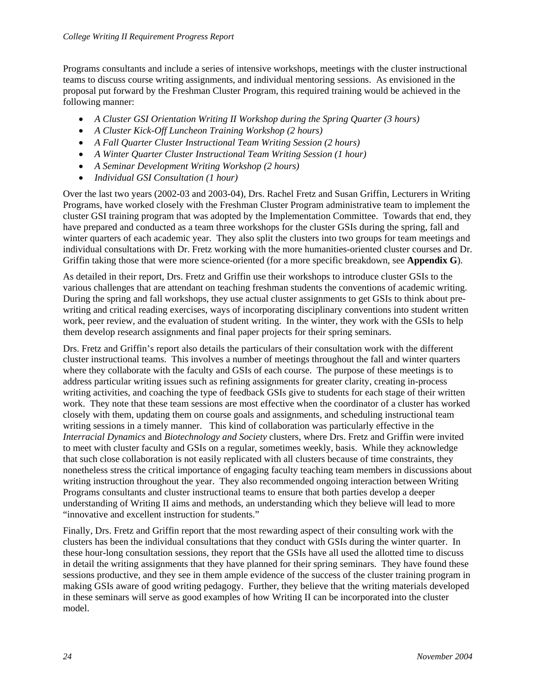Programs consultants and include a series of intensive workshops, meetings with the cluster instructional teams to discuss course writing assignments, and individual mentoring sessions. As envisioned in the proposal put forward by the Freshman Cluster Program, this required training would be achieved in the following manner:

- *A Cluster GSI Orientation Writing II Workshop during the Spring Quarter (3 hours)*
- *A Cluster Kick-Off Luncheon Training Workshop (2 hours)*
- *A Fall Quarter Cluster Instructional Team Writing Session (2 hours)*
- *A Winter Quarter Cluster Instructional Team Writing Session (1 hour)*
- *A Seminar Development Writing Workshop (2 hours)*
- *Individual GSI Consultation (1 hour)*

Over the last two years (2002-03 and 2003-04), Drs. Rachel Fretz and Susan Griffin, Lecturers in Writing Programs, have worked closely with the Freshman Cluster Program administrative team to implement the cluster GSI training program that was adopted by the Implementation Committee. Towards that end, they have prepared and conducted as a team three workshops for the cluster GSIs during the spring, fall and winter quarters of each academic year. They also split the clusters into two groups for team meetings and individual consultations with Dr. Fretz working with the more humanities-oriented cluster courses and Dr. Griffin taking those that were more science-oriented (for a more specific breakdown, see **Appendix G**).

As detailed in their report, Drs. Fretz and Griffin use their workshops to introduce cluster GSIs to the various challenges that are attendant on teaching freshman students the conventions of academic writing. During the spring and fall workshops, they use actual cluster assignments to get GSIs to think about prewriting and critical reading exercises, ways of incorporating disciplinary conventions into student written work, peer review, and the evaluation of student writing. In the winter, they work with the GSIs to help them develop research assignments and final paper projects for their spring seminars.

Drs. Fretz and Griffin's report also details the particulars of their consultation work with the different cluster instructional teams. This involves a number of meetings throughout the fall and winter quarters where they collaborate with the faculty and GSIs of each course. The purpose of these meetings is to address particular writing issues such as refining assignments for greater clarity, creating in-process writing activities, and coaching the type of feedback GSIs give to students for each stage of their written work. They note that these team sessions are most effective when the coordinator of a cluster has worked closely with them, updating them on course goals and assignments, and scheduling instructional team writing sessions in a timely manner. This kind of collaboration was particularly effective in the *Interracial Dynamics* and *Biotechnology and Society* clusters, where Drs. Fretz and Griffin were invited to meet with cluster faculty and GSIs on a regular, sometimes weekly, basis. While they acknowledge that such close collaboration is not easily replicated with all clusters because of time constraints, they nonetheless stress the critical importance of engaging faculty teaching team members in discussions about writing instruction throughout the year. They also recommended ongoing interaction between Writing Programs consultants and cluster instructional teams to ensure that both parties develop a deeper understanding of Writing II aims and methods, an understanding which they believe will lead to more "innovative and excellent instruction for students."

Finally, Drs. Fretz and Griffin report that the most rewarding aspect of their consulting work with the clusters has been the individual consultations that they conduct with GSIs during the winter quarter. In these hour-long consultation sessions, they report that the GSIs have all used the allotted time to discuss in detail the writing assignments that they have planned for their spring seminars. They have found these sessions productive, and they see in them ample evidence of the success of the cluster training program in making GSIs aware of good writing pedagogy. Further, they believe that the writing materials developed in these seminars will serve as good examples of how Writing II can be incorporated into the cluster model.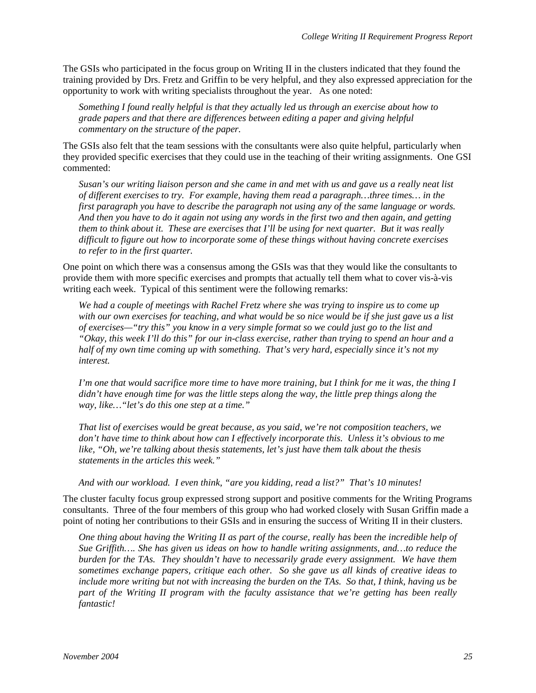The GSIs who participated in the focus group on Writing II in the clusters indicated that they found the training provided by Drs. Fretz and Griffin to be very helpful, and they also expressed appreciation for the opportunity to work with writing specialists throughout the year. As one noted:

*Something I found really helpful is that they actually led us through an exercise about how to grade papers and that there are differences between editing a paper and giving helpful commentary on the structure of the paper.* 

The GSIs also felt that the team sessions with the consultants were also quite helpful, particularly when they provided specific exercises that they could use in the teaching of their writing assignments. One GSI commented:

*Susan's our writing liaison person and she came in and met with us and gave us a really neat list of different exercises to try. For example, having them read a paragraph…three times… in the first paragraph you have to describe the paragraph not using any of the same language or words. And then you have to do it again not using any words in the first two and then again, and getting them to think about it. These are exercises that I'll be using for next quarter. But it was really difficult to figure out how to incorporate some of these things without having concrete exercises to refer to in the first quarter.* 

One point on which there was a consensus among the GSIs was that they would like the consultants to provide them with more specific exercises and prompts that actually tell them what to cover vis-à-vis writing each week. Typical of this sentiment were the following remarks:

*We had a couple of meetings with Rachel Fretz where she was trying to inspire us to come up with our own exercises for teaching, and what would be so nice would be if she just gave us a list of exercises—"try this" you know in a very simple format so we could just go to the list and "Okay, this week I'll do this" for our in-class exercise, rather than trying to spend an hour and a half of my own time coming up with something. That's very hard, especially since it's not my interest.* 

*I'm one that would sacrifice more time to have more training, but I think for me it was, the thing I didn't have enough time for was the little steps along the way, the little prep things along the way, like…"let's do this one step at a time."* 

*That list of exercises would be great because, as you said, we're not composition teachers, we don't have time to think about how can I effectively incorporate this. Unless it's obvious to me like, "Oh, we're talking about thesis statements, let's just have them talk about the thesis statements in the articles this week."* 

*And with our workload. I even think, "are you kidding, read a list?" That's 10 minutes!* 

The cluster faculty focus group expressed strong support and positive comments for the Writing Programs consultants. Three of the four members of this group who had worked closely with Susan Griffin made a point of noting her contributions to their GSIs and in ensuring the success of Writing II in their clusters.

*One thing about having the Writing II as part of the course, really has been the incredible help of Sue Griffith…. She has given us ideas on how to handle writing assignments, and…to reduce the burden for the TAs. They shouldn't have to necessarily grade every assignment. We have them sometimes exchange papers, critique each other. So she gave us all kinds of creative ideas to include more writing but not with increasing the burden on the TAs. So that, I think, having us be part of the Writing II program with the faculty assistance that we're getting has been really fantastic!*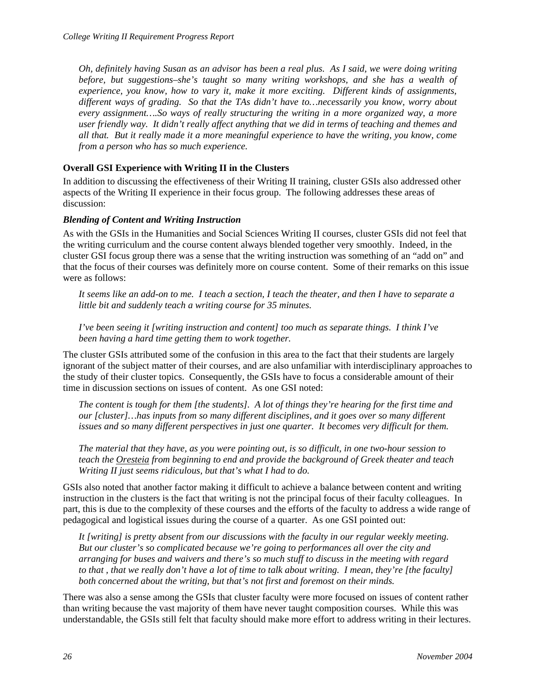<span id="page-31-0"></span>*Oh, definitely having Susan as an advisor has been a real plus. As I said, we were doing writing before, but suggestions–she's taught so many writing workshops, and she has a wealth of experience, you know, how to vary it, make it more exciting. Different kinds of assignments, different ways of grading. So that the TAs didn't have to…necessarily you know, worry about every assignment….So ways of really structuring the writing in a more organized way, a more user friendly way. It didn't really affect anything that we did in terms of teaching and themes and all that. But it really made it a more meaningful experience to have the writing, you know, come from a person who has so much experience.* 

## **Overall GSI Experience with Writing II in the Clusters**

In addition to discussing the effectiveness of their Writing II training, cluster GSIs also addressed other aspects of the Writing II experience in their focus group. The following addresses these areas of discussion:

## *Blending of Content and Writing Instruction*

As with the GSIs in the Humanities and Social Sciences Writing II courses, cluster GSIs did not feel that the writing curriculum and the course content always blended together very smoothly. Indeed, in the cluster GSI focus group there was a sense that the writing instruction was something of an "add on" and that the focus of their courses was definitely more on course content. Some of their remarks on this issue were as follows:

*It seems like an add-on to me. I teach a section, I teach the theater, and then I have to separate a little bit and suddenly teach a writing course for 35 minutes.* 

*I've been seeing it [writing instruction and content] too much as separate things. I think I've been having a hard time getting them to work together.* 

The cluster GSIs attributed some of the confusion in this area to the fact that their students are largely ignorant of the subject matter of their courses, and are also unfamiliar with interdisciplinary approaches to the study of their cluster topics. Consequently, the GSIs have to focus a considerable amount of their time in discussion sections on issues of content. As one GSI noted:

*The content is tough for them [the students]. A lot of things they're hearing for the first time and our [cluster]…has inputs from so many different disciplines, and it goes over so many different issues and so many different perspectives in just one quarter. It becomes very difficult for them.* 

*The material that they have, as you were pointing out, is so difficult, in one two-hour session to teach the Oresteia from beginning to end and provide the background of Greek theater and teach Writing II just seems ridiculous, but that's what I had to do.* 

GSIs also noted that another factor making it difficult to achieve a balance between content and writing instruction in the clusters is the fact that writing is not the principal focus of their faculty colleagues. In part, this is due to the complexity of these courses and the efforts of the faculty to address a wide range of pedagogical and logistical issues during the course of a quarter. As one GSI pointed out:

*It [writing] is pretty absent from our discussions with the faculty in our regular weekly meeting. But our cluster's so complicated because we're going to performances all over the city and arranging for buses and waivers and there's so much stuff to discuss in the meeting with regard to that , that we really don't have a lot of time to talk about writing. I mean, they're [the faculty] both concerned about the writing, but that's not first and foremost on their minds.* 

There was also a sense among the GSIs that cluster faculty were more focused on issues of content rather than writing because the vast majority of them have never taught composition courses. While this was understandable, the GSIs still felt that faculty should make more effort to address writing in their lectures.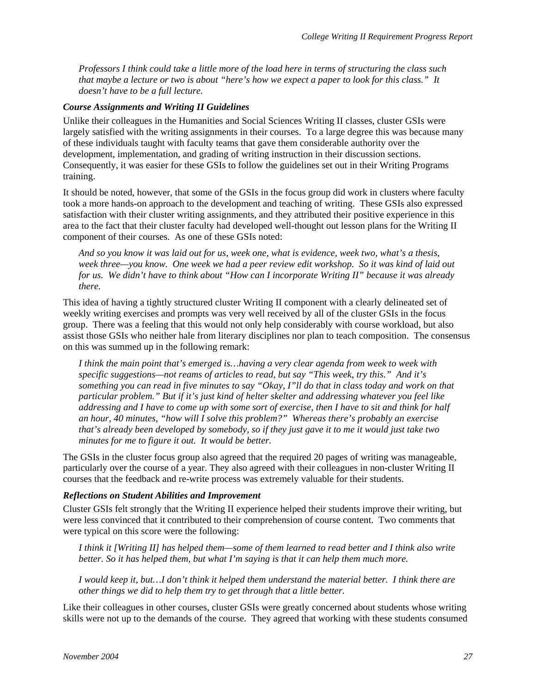<span id="page-32-0"></span>*Professors I think could take a little more of the load here in terms of structuring the class such that maybe a lecture or two is about "here's how we expect a paper to look for this class." It doesn't have to be a full lecture.* 

#### *Course Assignments and Writing II Guidelines*

Unlike their colleagues in the Humanities and Social Sciences Writing II classes, cluster GSIs were largely satisfied with the writing assignments in their courses. To a large degree this was because many of these individuals taught with faculty teams that gave them considerable authority over the development, implementation, and grading of writing instruction in their discussion sections. Consequently, it was easier for these GSIs to follow the guidelines set out in their Writing Programs training.

It should be noted, however, that some of the GSIs in the focus group did work in clusters where faculty took a more hands-on approach to the development and teaching of writing. These GSIs also expressed satisfaction with their cluster writing assignments, and they attributed their positive experience in this area to the fact that their cluster faculty had developed well-thought out lesson plans for the Writing II component of their courses. As one of these GSIs noted:

*And so you know it was laid out for us, week one, what is evidence, week two, what's a thesis, week three—you know. One week we had a peer review edit workshop. So it was kind of laid out for us. We didn't have to think about "How can I incorporate Writing II" because it was already there.* 

This idea of having a tightly structured cluster Writing II component with a clearly delineated set of weekly writing exercises and prompts was very well received by all of the cluster GSIs in the focus group. There was a feeling that this would not only help considerably with course workload, but also assist those GSIs who neither hale from literary disciplines nor plan to teach composition. The consensus on this was summed up in the following remark:

*I think the main point that's emerged is…having a very clear agenda from week to week with specific suggestions—not reams of articles to read, but say "This week, try this." And it's something you can read in five minutes to say "Okay, I"ll do that in class today and work on that particular problem." But if it's just kind of helter skelter and addressing whatever you feel like addressing and I have to come up with some sort of exercise, then I have to sit and think for half an hour, 40 minutes, "how will I solve this problem?" Whereas there's probably an exercise that's already been developed by somebody, so if they just gave it to me it would just take two minutes for me to figure it out. It would be better.* 

The GSIs in the cluster focus group also agreed that the required 20 pages of writing was manageable, particularly over the course of a year. They also agreed with their colleagues in non-cluster Writing II courses that the feedback and re-write process was extremely valuable for their students.

### *Reflections on Student Abilities and Improvement*

Cluster GSIs felt strongly that the Writing II experience helped their students improve their writing, but were less convinced that it contributed to their comprehension of course content. Two comments that were typical on this score were the following:

*I think it [Writing II] has helped them—some of them learned to read better and I think also write better. So it has helped them, but what I'm saying is that it can help them much more.* 

*I would keep it, but…I don't think it helped them understand the material better. I think there are other things we did to help them try to get through that a little better.* 

Like their colleagues in other courses, cluster GSIs were greatly concerned about students whose writing skills were not up to the demands of the course. They agreed that working with these students consumed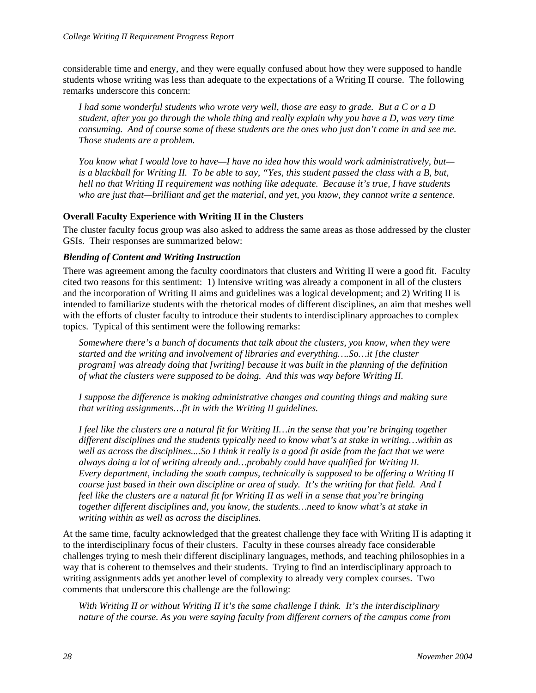<span id="page-33-0"></span>considerable time and energy, and they were equally confused about how they were supposed to handle students whose writing was less than adequate to the expectations of a Writing II course. The following remarks underscore this concern:

*I had some wonderful students who wrote very well, those are easy to grade. But a C or a D student, after you go through the whole thing and really explain why you have a D, was very time consuming. And of course some of these students are the ones who just don't come in and see me. Those students are a problem.* 

*You know what I would love to have—I have no idea how this would work administratively, but is a blackball for Writing II. To be able to say, "Yes, this student passed the class with a B, but, hell no that Writing II requirement was nothing like adequate. Because it's true, I have students who are just that—brilliant and get the material, and yet, you know, they cannot write a sentence.* 

## **Overall Faculty Experience with Writing II in the Clusters**

The cluster faculty focus group was also asked to address the same areas as those addressed by the cluster GSIs. Their responses are summarized below:

## *Blending of Content and Writing Instruction*

There was agreement among the faculty coordinators that clusters and Writing II were a good fit. Faculty cited two reasons for this sentiment: 1) Intensive writing was already a component in all of the clusters and the incorporation of Writing II aims and guidelines was a logical development; and 2) Writing II is intended to familiarize students with the rhetorical modes of different disciplines, an aim that meshes well with the efforts of cluster faculty to introduce their students to interdisciplinary approaches to complex topics. Typical of this sentiment were the following remarks:

*Somewhere there's a bunch of documents that talk about the clusters, you know, when they were started and the writing and involvement of libraries and everything….So…it [the cluster program] was already doing that [writing] because it was built in the planning of the definition of what the clusters were supposed to be doing. And this was way before Writing II.* 

*I suppose the difference is making administrative changes and counting things and making sure that writing assignments…fit in with the Writing II guidelines.* 

*I feel like the clusters are a natural fit for Writing II…in the sense that you're bringing together different disciplines and the students typically need to know what's at stake in writing…within as well as across the disciplines....So I think it really is a good fit aside from the fact that we were always doing a lot of writing already and…probably could have qualified for Writing II. Every department, including the south campus, technically is supposed to be offering a Writing II course just based in their own discipline or area of study. It's the writing for that field. And I feel like the clusters are a natural fit for Writing II as well in a sense that you're bringing together different disciplines and, you know, the students…need to know what's at stake in writing within as well as across the disciplines.* 

At the same time, faculty acknowledged that the greatest challenge they face with Writing II is adapting it to the interdisciplinary focus of their clusters. Faculty in these courses already face considerable challenges trying to mesh their different disciplinary languages, methods, and teaching philosophies in a way that is coherent to themselves and their students. Trying to find an interdisciplinary approach to writing assignments adds yet another level of complexity to already very complex courses. Two comments that underscore this challenge are the following:

*With Writing II or without Writing II it's the same challenge I think. It's the interdisciplinary nature of the course. As you were saying faculty from different corners of the campus come from*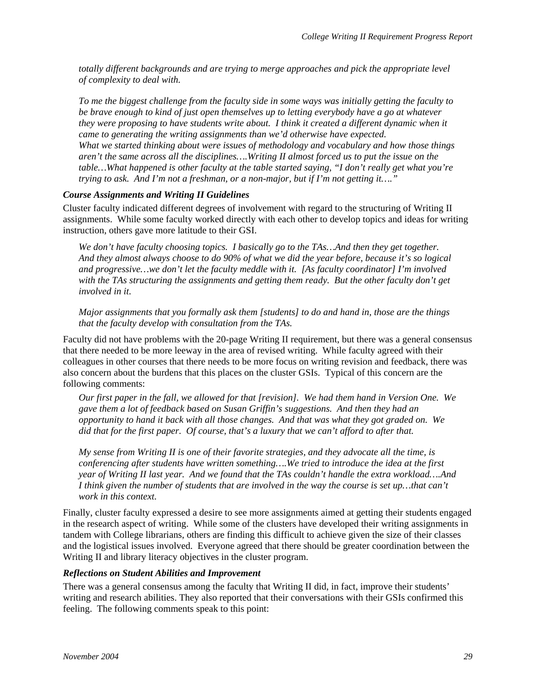<span id="page-34-0"></span>*totally different backgrounds and are trying to merge approaches and pick the appropriate level of complexity to deal with.* 

*To me the biggest challenge from the faculty side in some ways was initially getting the faculty to be brave enough to kind of just open themselves up to letting everybody have a go at whatever they were proposing to have students write about. I think it created a different dynamic when it came to generating the writing assignments than we'd otherwise have expected. What we started thinking about were issues of methodology and vocabulary and how those things aren't the same across all the disciplines….Writing II almost forced us to put the issue on the table…What happened is other faculty at the table started saying, "I don't really get what you're trying to ask. And I'm not a freshman, or a non-major, but if I'm not getting it…."* 

#### *Course Assignments and Writing II Guidelines*

Cluster faculty indicated different degrees of involvement with regard to the structuring of Writing II assignments. While some faculty worked directly with each other to develop topics and ideas for writing instruction, others gave more latitude to their GSI.

*We don't have faculty choosing topics. I basically go to the TAs…And then they get together. And they almost always choose to do 90% of what we did the year before, because it's so logical and progressive…we don't let the faculty meddle with it. [As faculty coordinator] I'm involved with the TAs structuring the assignments and getting them ready. But the other faculty don't get involved in it.* 

*Major assignments that you formally ask them [students] to do and hand in, those are the things that the faculty develop with consultation from the TAs.* 

Faculty did not have problems with the 20-page Writing II requirement, but there was a general consensus that there needed to be more leeway in the area of revised writing. While faculty agreed with their colleagues in other courses that there needs to be more focus on writing revision and feedback, there was also concern about the burdens that this places on the cluster GSIs. Typical of this concern are the following comments:

*Our first paper in the fall, we allowed for that [revision]. We had them hand in Version One. We gave them a lot of feedback based on Susan Griffin's suggestions. And then they had an opportunity to hand it back with all those changes. And that was what they got graded on. We did that for the first paper. Of course, that's a luxury that we can't afford to after that.* 

*My sense from Writing II is one of their favorite strategies, and they advocate all the time, is conferencing after students have written something….We tried to introduce the idea at the first year of Writing II last year. And we found that the TAs couldn't handle the extra workload….And I think given the number of students that are involved in the way the course is set up…that can't work in this context.* 

Finally, cluster faculty expressed a desire to see more assignments aimed at getting their students engaged in the research aspect of writing. While some of the clusters have developed their writing assignments in tandem with College librarians, others are finding this difficult to achieve given the size of their classes and the logistical issues involved. Everyone agreed that there should be greater coordination between the Writing II and library literacy objectives in the cluster program.

#### *Reflections on Student Abilities and Improvement*

There was a general consensus among the faculty that Writing II did, in fact, improve their students' writing and research abilities. They also reported that their conversations with their GSIs confirmed this feeling. The following comments speak to this point: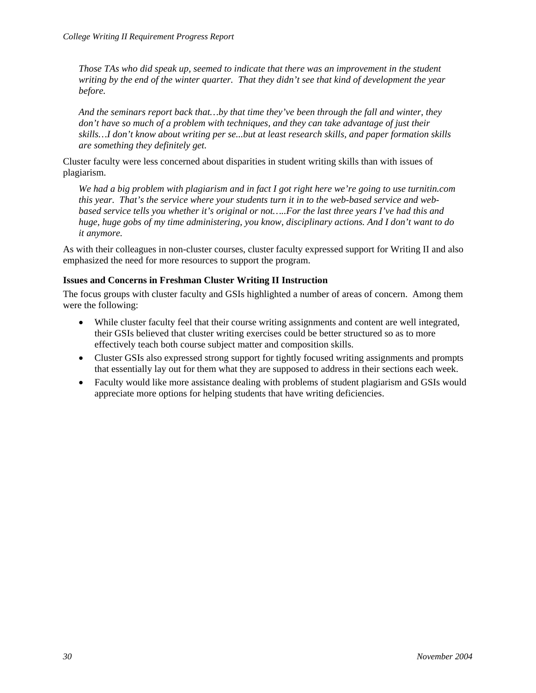<span id="page-35-0"></span>*Those TAs who did speak up, seemed to indicate that there was an improvement in the student writing by the end of the winter quarter. That they didn't see that kind of development the year before.* 

*And the seminars report back that…by that time they've been through the fall and winter, they don't have so much of a problem with techniques, and they can take advantage of just their skills…I don't know about writing per se...but at least research skills, and paper formation skills are something they definitely get.* 

Cluster faculty were less concerned about disparities in student writing skills than with issues of plagiarism.

*We had a big problem with plagiarism and in fact I got right here we're going to use turnitin.com this year. That's the service where your students turn it in to the web-based service and webbased service tells you whether it's original or not…..For the last three years I've had this and huge, huge gobs of my time administering, you know, disciplinary actions. And I don't want to do it anymore.*

As with their colleagues in non-cluster courses, cluster faculty expressed support for Writing II and also emphasized the need for more resources to support the program.

### **Issues and Concerns in Freshman Cluster Writing II Instruction**

The focus groups with cluster faculty and GSIs highlighted a number of areas of concern. Among them were the following:

- While cluster faculty feel that their course writing assignments and content are well integrated, their GSIs believed that cluster writing exercises could be better structured so as to more effectively teach both course subject matter and composition skills.
- Cluster GSIs also expressed strong support for tightly focused writing assignments and prompts that essentially lay out for them what they are supposed to address in their sections each week.
- Faculty would like more assistance dealing with problems of student plagiarism and GSIs would appreciate more options for helping students that have writing deficiencies.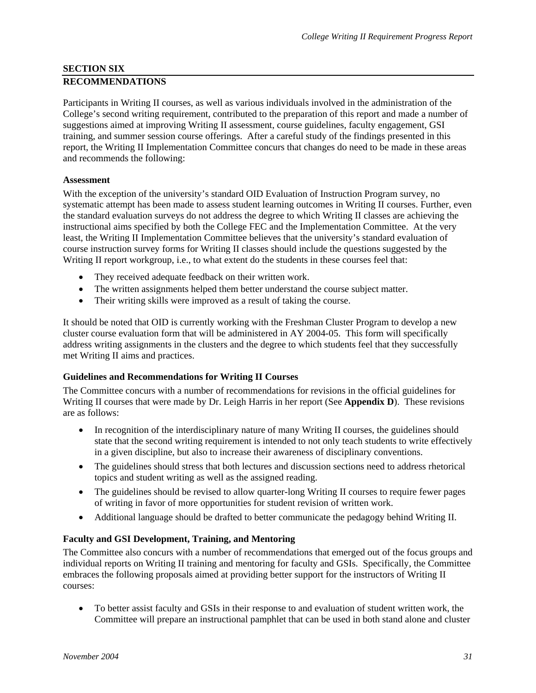### <span id="page-36-0"></span>**SECTION SIX RECOMMENDATIONS**

Participants in Writing II courses, as well as various individuals involved in the administration of the College's second writing requirement, contributed to the preparation of this report and made a number of suggestions aimed at improving Writing II assessment, course guidelines, faculty engagement, GSI training, and summer session course offerings. After a careful study of the findings presented in this report, the Writing II Implementation Committee concurs that changes do need to be made in these areas and recommends the following:

## **Assessment**

With the exception of the university's standard OID Evaluation of Instruction Program survey, no systematic attempt has been made to assess student learning outcomes in Writing II courses. Further, even the standard evaluation surveys do not address the degree to which Writing II classes are achieving the instructional aims specified by both the College FEC and the Implementation Committee. At the very least, the Writing II Implementation Committee believes that the university's standard evaluation of course instruction survey forms for Writing II classes should include the questions suggested by the Writing II report workgroup, i.e., to what extent do the students in these courses feel that:

- They received adequate feedback on their written work.
- The written assignments helped them better understand the course subject matter.
- Their writing skills were improved as a result of taking the course.

It should be noted that OID is currently working with the Freshman Cluster Program to develop a new cluster course evaluation form that will be administered in AY 2004-05. This form will specifically address writing assignments in the clusters and the degree to which students feel that they successfully met Writing II aims and practices.

## **Guidelines and Recommendations for Writing II Courses**

The Committee concurs with a number of recommendations for revisions in the official guidelines for Writing II courses that were made by Dr. Leigh Harris in her report (See **Appendix D**). These revisions are as follows:

- In recognition of the interdisciplinary nature of many Writing II courses, the guidelines should state that the second writing requirement is intended to not only teach students to write effectively in a given discipline, but also to increase their awareness of disciplinary conventions.
- The guidelines should stress that both lectures and discussion sections need to address rhetorical topics and student writing as well as the assigned reading.
- The guidelines should be revised to allow quarter-long Writing II courses to require fewer pages of writing in favor of more opportunities for student revision of written work.
- Additional language should be drafted to better communicate the pedagogy behind Writing II.

## **Faculty and GSI Development, Training, and Mentoring**

The Committee also concurs with a number of recommendations that emerged out of the focus groups and individual reports on Writing II training and mentoring for faculty and GSIs. Specifically, the Committee embraces the following proposals aimed at providing better support for the instructors of Writing II courses:

• To better assist faculty and GSIs in their response to and evaluation of student written work, the Committee will prepare an instructional pamphlet that can be used in both stand alone and cluster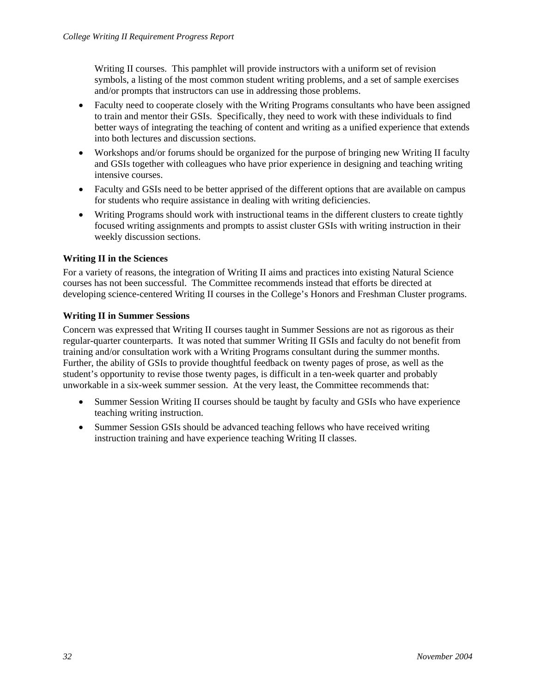Writing II courses. This pamphlet will provide instructors with a uniform set of revision symbols, a listing of the most common student writing problems, and a set of sample exercises and/or prompts that instructors can use in addressing those problems.

- Faculty need to cooperate closely with the Writing Programs consultants who have been assigned to train and mentor their GSIs. Specifically, they need to work with these individuals to find better ways of integrating the teaching of content and writing as a unified experience that extends into both lectures and discussion sections.
- Workshops and/or forums should be organized for the purpose of bringing new Writing II faculty and GSIs together with colleagues who have prior experience in designing and teaching writing intensive courses.
- Faculty and GSIs need to be better apprised of the different options that are available on campus for students who require assistance in dealing with writing deficiencies.
- Writing Programs should work with instructional teams in the different clusters to create tightly focused writing assignments and prompts to assist cluster GSIs with writing instruction in their weekly discussion sections.

## **Writing II in the Sciences**

For a variety of reasons, the integration of Writing II aims and practices into existing Natural Science courses has not been successful. The Committee recommends instead that efforts be directed at developing science-centered Writing II courses in the College's Honors and Freshman Cluster programs.

## **Writing II in Summer Sessions**

Concern was expressed that Writing II courses taught in Summer Sessions are not as rigorous as their regular-quarter counterparts. It was noted that summer Writing II GSIs and faculty do not benefit from training and/or consultation work with a Writing Programs consultant during the summer months. Further, the ability of GSIs to provide thoughtful feedback on twenty pages of prose, as well as the student's opportunity to revise those twenty pages, is difficult in a ten-week quarter and probably unworkable in a six-week summer session. At the very least, the Committee recommends that:

- Summer Session Writing II courses should be taught by faculty and GSIs who have experience teaching writing instruction.
- Summer Session GSIs should be advanced teaching fellows who have received writing instruction training and have experience teaching Writing II classes.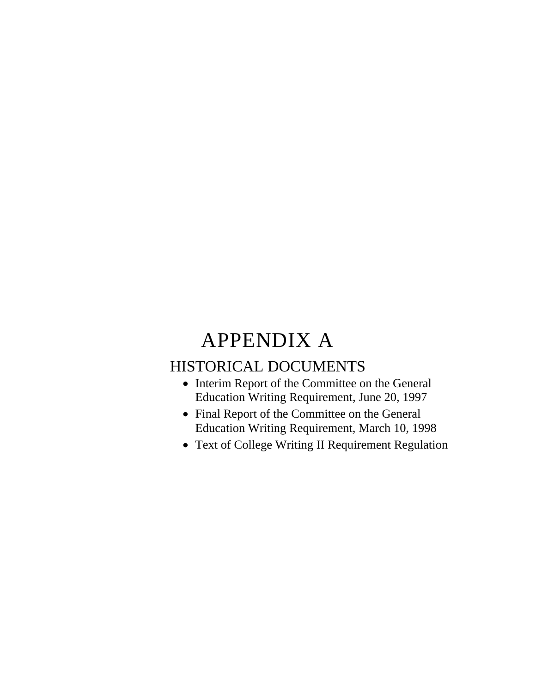## APPENDIX A

## HISTORICAL DOCUMENTS

- Interim Report of the Committee on the General Education Writing Requirement, June 20, 1997
- Final Report of the Committee on the General Education Writing Requirement, March 10, 1998
- Text of College Writing II Requirement Regulation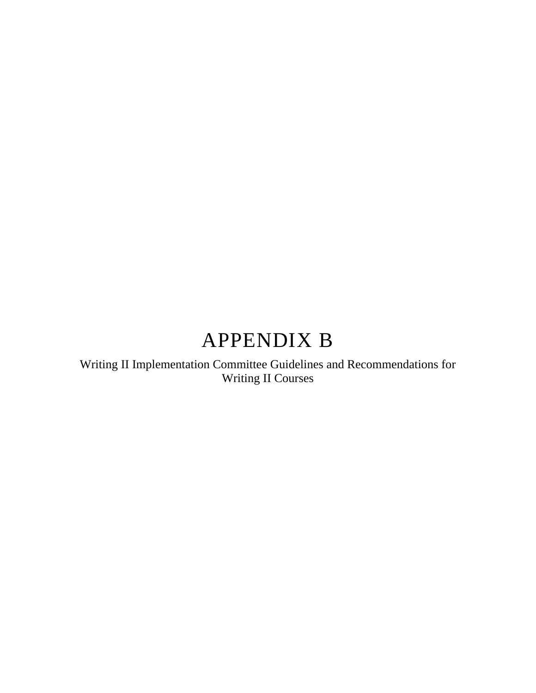## APPENDIX B

Writing II Implementation Committee Guidelines and Recommendations for Writing II Courses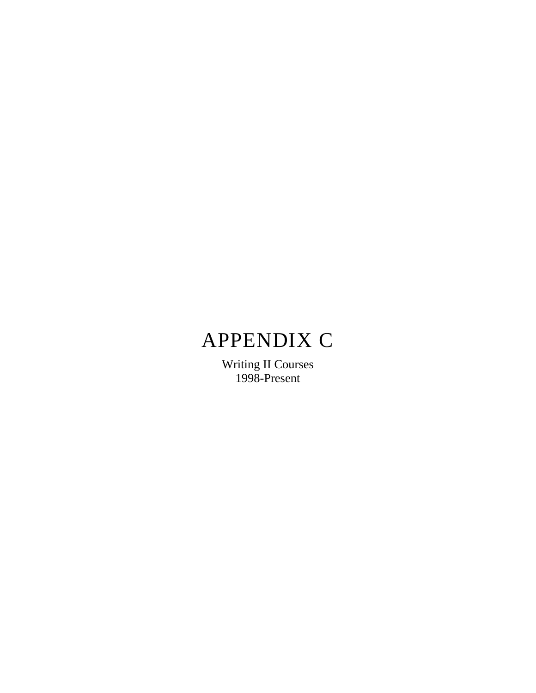# APPENDIX C

Writing II Courses 1998-Present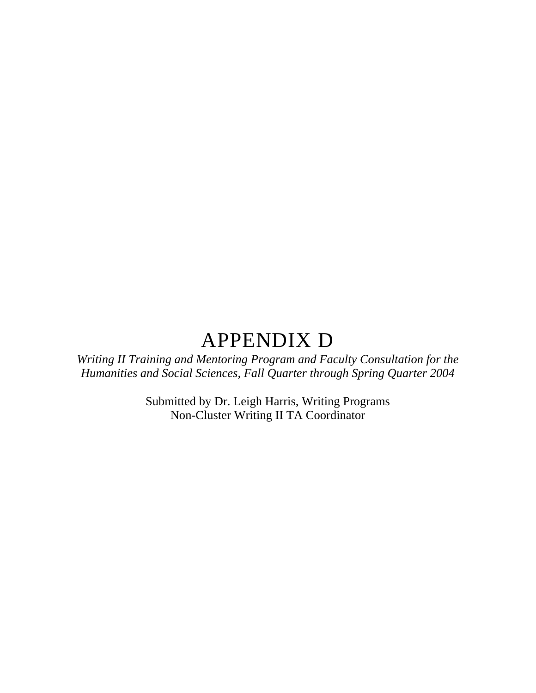## APPENDIX D

*Writing II Training and Mentoring Program and Faculty Consultation for the Humanities and Social Sciences, Fall Quarter through Spring Quarter 2004* 

> Submitted by Dr. Leigh Harris, Writing Programs Non-Cluster Writing II TA Coordinator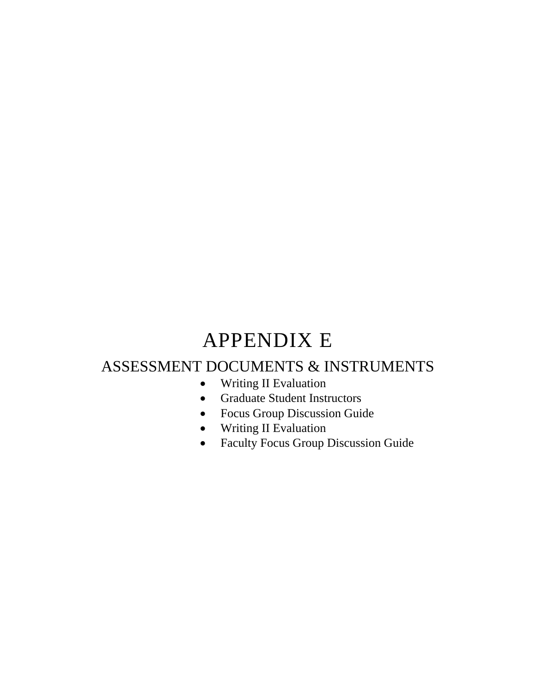# APPENDIX E

## ASSESSMENT DOCUMENTS & INSTRUMENTS

- Writing II Evaluation
- Graduate Student Instructors
- Focus Group Discussion Guide
- Writing II Evaluation
- Faculty Focus Group Discussion Guide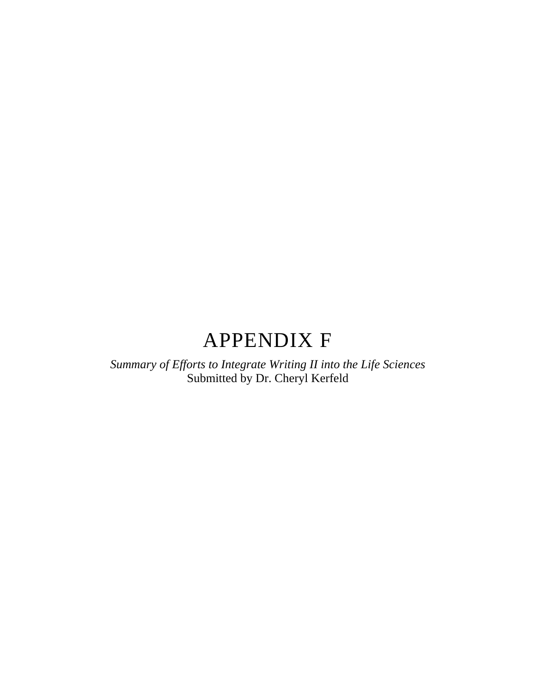## APPENDIX F

*Summary of Efforts to Integrate Writing II into the Life Sciences*  Submitted by Dr. Cheryl Kerfeld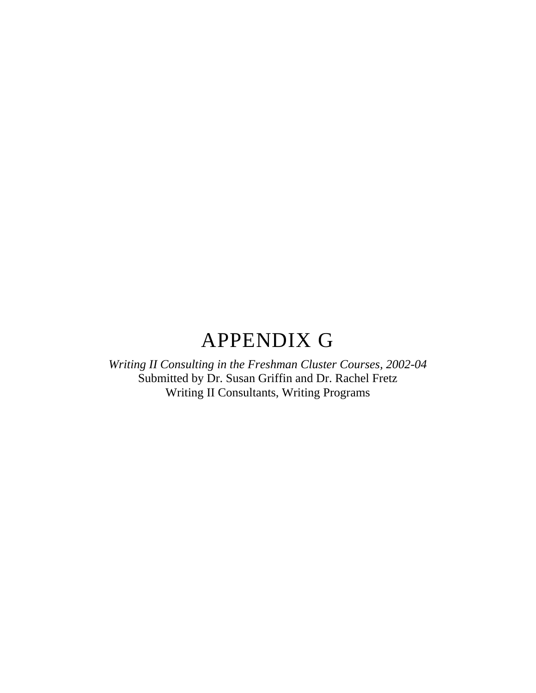## APPENDIX G

*Writing II Consulting in the Freshman Cluster Courses, 2002-04*  Submitted by Dr. Susan Griffin and Dr. Rachel Fretz Writing II Consultants, Writing Programs